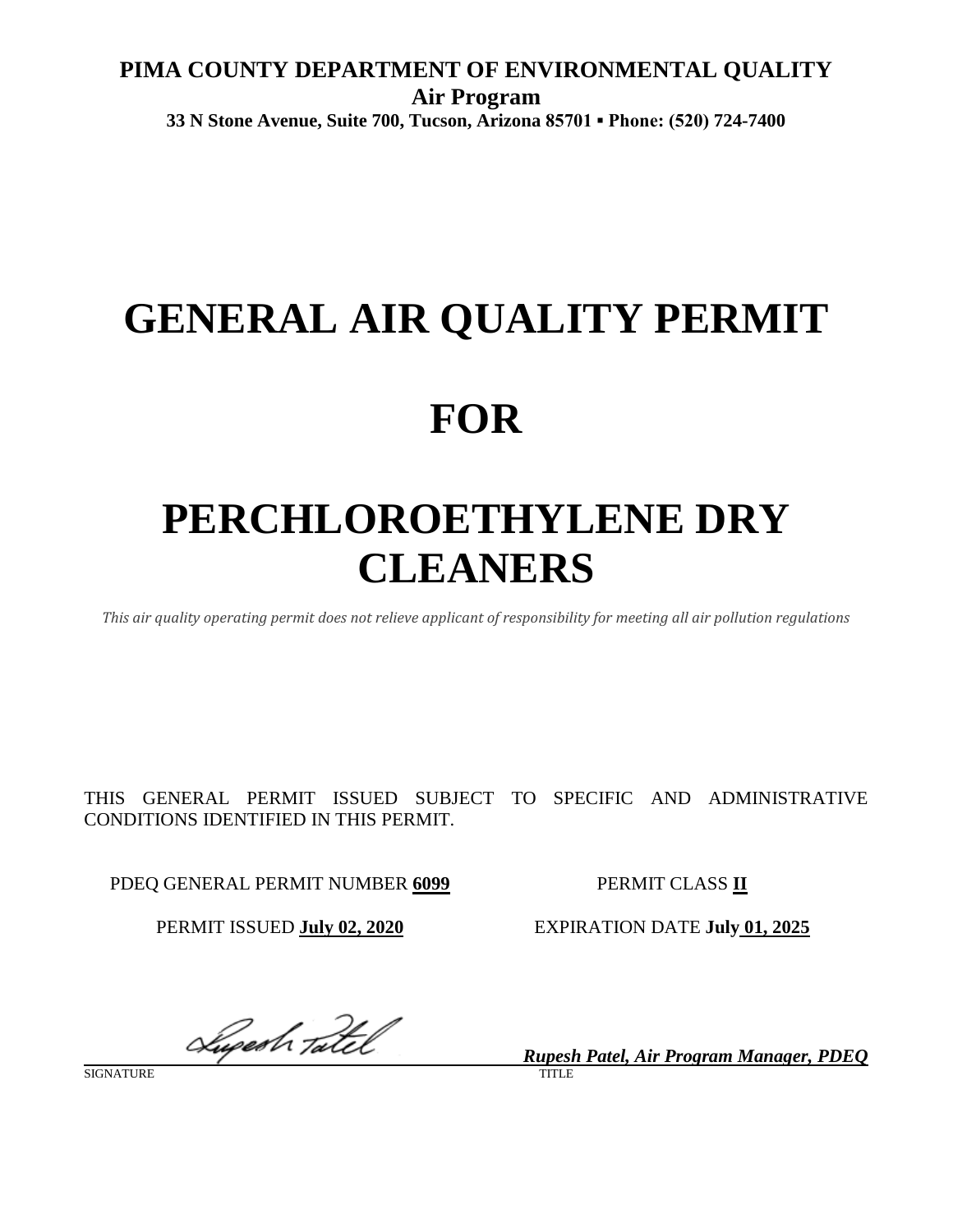# **PIMA COUNTY DEPARTMENT OF ENVIRONMENTAL QUALITY Air Program 33 N Stone Avenue, Suite 700, Tucson, Arizona 85701 ▪ Phone: (520) 724-7400**

# **GENERAL AIR QUALITY PERMIT**

# **FOR**

# **PERCHLOROETHYLENE DRY CLEANERS**

*This air quality operating permit does not relieve applicant of responsibility for meeting all air pollution regulations*

THIS GENERAL PERMIT ISSUED SUBJECT TO SPECIFIC AND ADMINISTRATIVE CONDITIONS IDENTIFIED IN THIS PERMIT.

PDEQ GENERAL PERMIT NUMBER 6099 PERMIT CLASS II

PERMIT ISSUED **July 02, 2020** EXPIRATION DATE **July 01, 2025**

Luperh Tatel

*Rupesh Patel, Air Program Manager, PDEQ*

SIGNATURE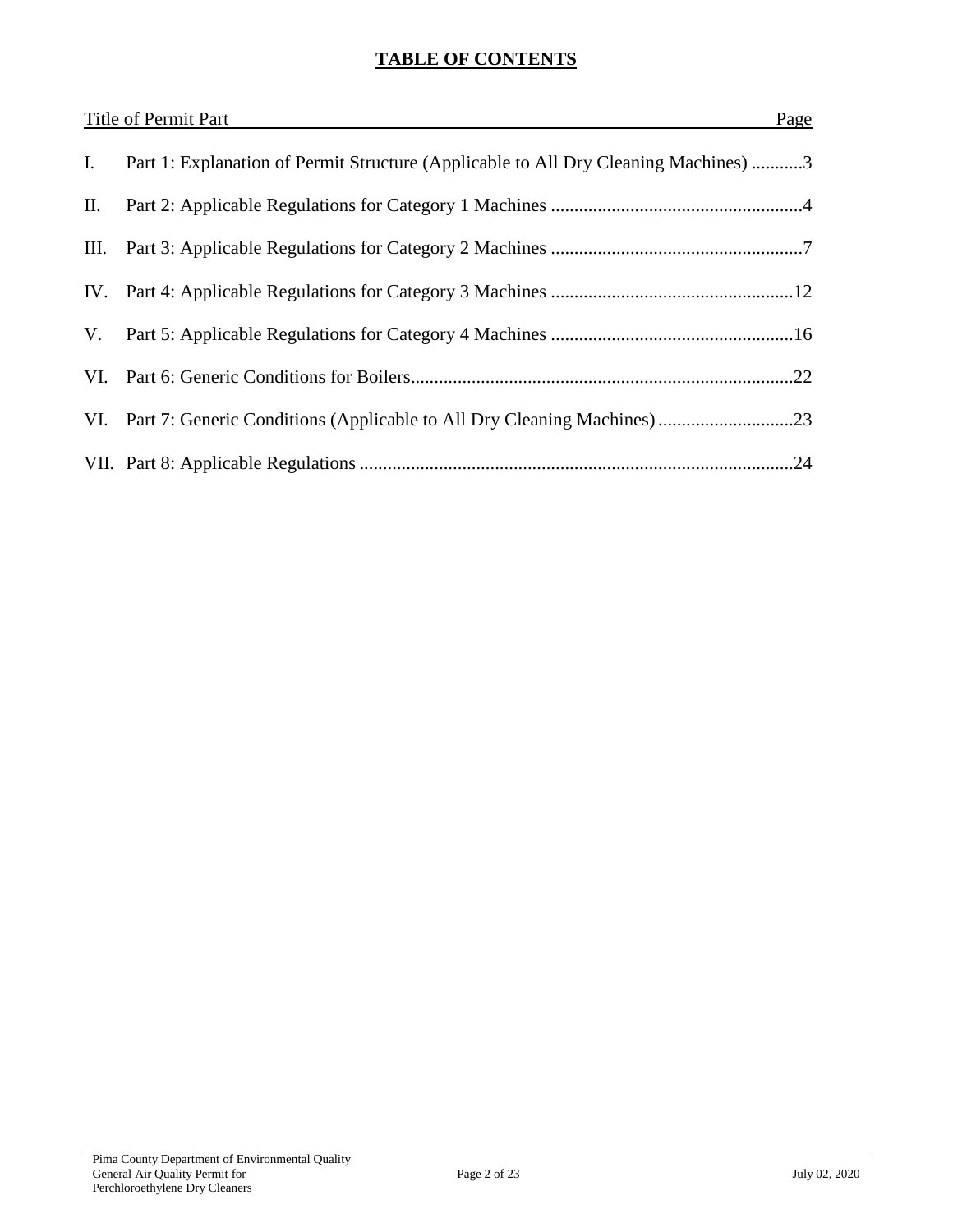# **TABLE OF CONTENTS**

| Title of Permit Part<br>Page |                                                                                     |
|------------------------------|-------------------------------------------------------------------------------------|
| Ι.                           | Part 1: Explanation of Permit Structure (Applicable to All Dry Cleaning Machines) 3 |
| П.                           |                                                                                     |
|                              |                                                                                     |
|                              |                                                                                     |
| V.                           |                                                                                     |
|                              |                                                                                     |
|                              |                                                                                     |
|                              |                                                                                     |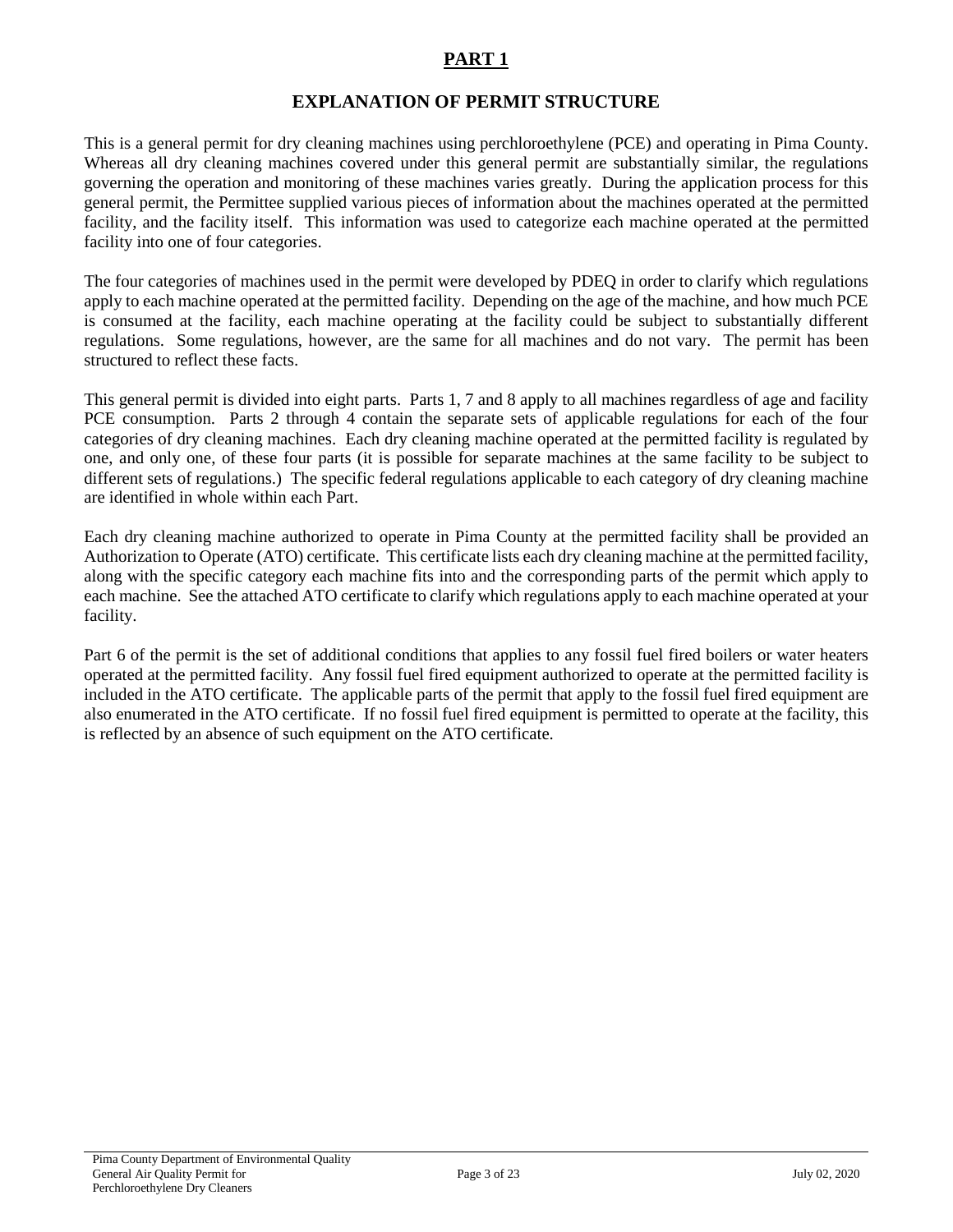## **EXPLANATION OF PERMIT STRUCTURE**

This is a general permit for dry cleaning machines using perchloroethylene (PCE) and operating in Pima County. Whereas all dry cleaning machines covered under this general permit are substantially similar, the regulations governing the operation and monitoring of these machines varies greatly. During the application process for this general permit, the Permittee supplied various pieces of information about the machines operated at the permitted facility, and the facility itself. This information was used to categorize each machine operated at the permitted facility into one of four categories.

The four categories of machines used in the permit were developed by PDEQ in order to clarify which regulations apply to each machine operated at the permitted facility. Depending on the age of the machine, and how much PCE is consumed at the facility, each machine operating at the facility could be subject to substantially different regulations. Some regulations, however, are the same for all machines and do not vary. The permit has been structured to reflect these facts.

This general permit is divided into eight parts. Parts 1, 7 and 8 apply to all machines regardless of age and facility PCE consumption. Parts 2 through 4 contain the separate sets of applicable regulations for each of the four categories of dry cleaning machines. Each dry cleaning machine operated at the permitted facility is regulated by one, and only one, of these four parts (it is possible for separate machines at the same facility to be subject to different sets of regulations.) The specific federal regulations applicable to each category of dry cleaning machine are identified in whole within each Part.

Each dry cleaning machine authorized to operate in Pima County at the permitted facility shall be provided an Authorization to Operate (ATO) certificate. This certificate lists each dry cleaning machine at the permitted facility, along with the specific category each machine fits into and the corresponding parts of the permit which apply to each machine. See the attached ATO certificate to clarify which regulations apply to each machine operated at your facility.

Part 6 of the permit is the set of additional conditions that applies to any fossil fuel fired boilers or water heaters operated at the permitted facility. Any fossil fuel fired equipment authorized to operate at the permitted facility is included in the ATO certificate. The applicable parts of the permit that apply to the fossil fuel fired equipment are also enumerated in the ATO certificate. If no fossil fuel fired equipment is permitted to operate at the facility, this is reflected by an absence of such equipment on the ATO certificate.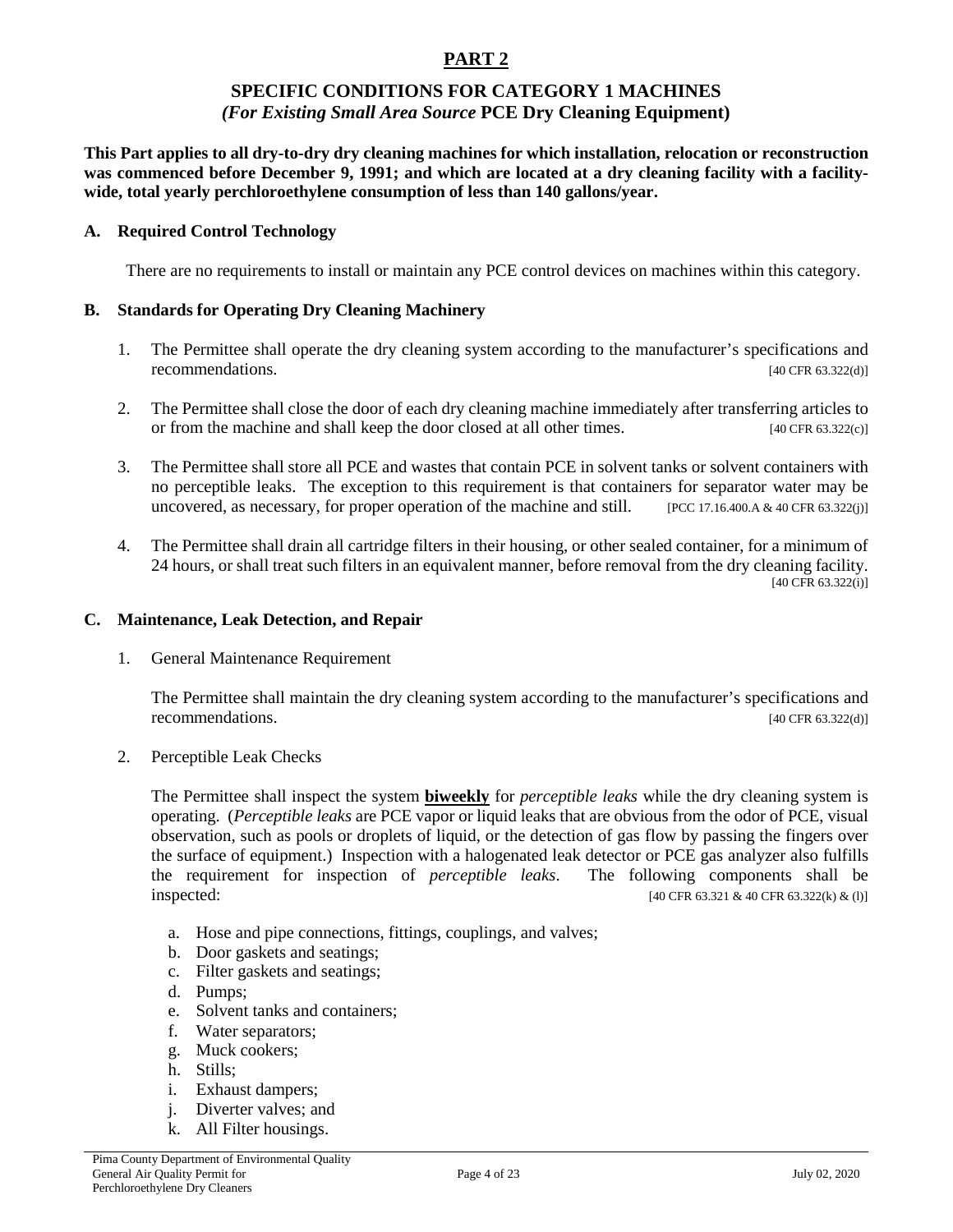#### **SPECIFIC CONDITIONS FOR CATEGORY 1 MACHINES** *(For Existing Small Area Source* **PCE Dry Cleaning Equipment)**

**This Part applies to all dry-to-dry dry cleaning machines for which installation, relocation or reconstruction was commenced before December 9, 1991; and which are located at a dry cleaning facility with a facilitywide, total yearly perchloroethylene consumption of less than 140 gallons/year.**

#### **A. Required Control Technology**

There are no requirements to install or maintain any PCE control devices on machines within this category.

#### **B. Standards for Operating Dry Cleaning Machinery**

- 1. The Permittee shall operate the dry cleaning system according to the manufacturer's specifications and recommendations. [40 CFR 63.322(d)]
- 2. The Permittee shall close the door of each dry cleaning machine immediately after transferring articles to or from the machine and shall keep the door closed at all other times. [40 CFR 63.322(c)]
- 3. The Permittee shall store all PCE and wastes that contain PCE in solvent tanks or solvent containers with no perceptible leaks. The exception to this requirement is that containers for separator water may be uncovered, as necessary, for proper operation of the machine and still. [PCC 17.16.400.A & 40 CFR 63.322(j)]
- 4. The Permittee shall drain all cartridge filters in their housing, or other sealed container, for a minimum of 24 hours, or shall treat such filters in an equivalent manner, before removal from the dry cleaning facility. [40 CFR 63.322(i)]

#### **C. Maintenance, Leak Detection, and Repair**

1. General Maintenance Requirement

The Permittee shall maintain the dry cleaning system according to the manufacturer's specifications and recommendations. [40 CFR 63.322(d)]

2. Perceptible Leak Checks

The Permittee shall inspect the system **biweekly** for *perceptible leaks* while the dry cleaning system is operating. (*Perceptible leaks* are PCE vapor or liquid leaks that are obvious from the odor of PCE, visual observation, such as pools or droplets of liquid, or the detection of gas flow by passing the fingers over the surface of equipment.) Inspection with a halogenated leak detector or PCE gas analyzer also fulfills the requirement for inspection of *perceptible leaks*. The following components shall be  $\frac{1}{40 \text{ CFR } 63.321 \& 40 \text{ CFR } 63.322 \& 40 \text{ CFR } 63.322 \& 100 \& 100 \& 100 \& 100 \& 100 \& 100 \& 100 \& 100 \& 100 \& 100 \& 100 \& 100 \& 100 \& 100 \& 100 \& 100 \& 100 \& 100 \& 100 \& 100 \& 100 \& 100 \& 100 \& 100 \& 100 \& 100 \& 100 \&$ 

- a. Hose and pipe connections, fittings, couplings, and valves;
- b. Door gaskets and seatings;
- c. Filter gaskets and seatings;
- d. Pumps;
- e. Solvent tanks and containers;
- f. Water separators;
- g. Muck cookers;
- h. Stills;
- i. Exhaust dampers;
- j. Diverter valves; and
- k. All Filter housings.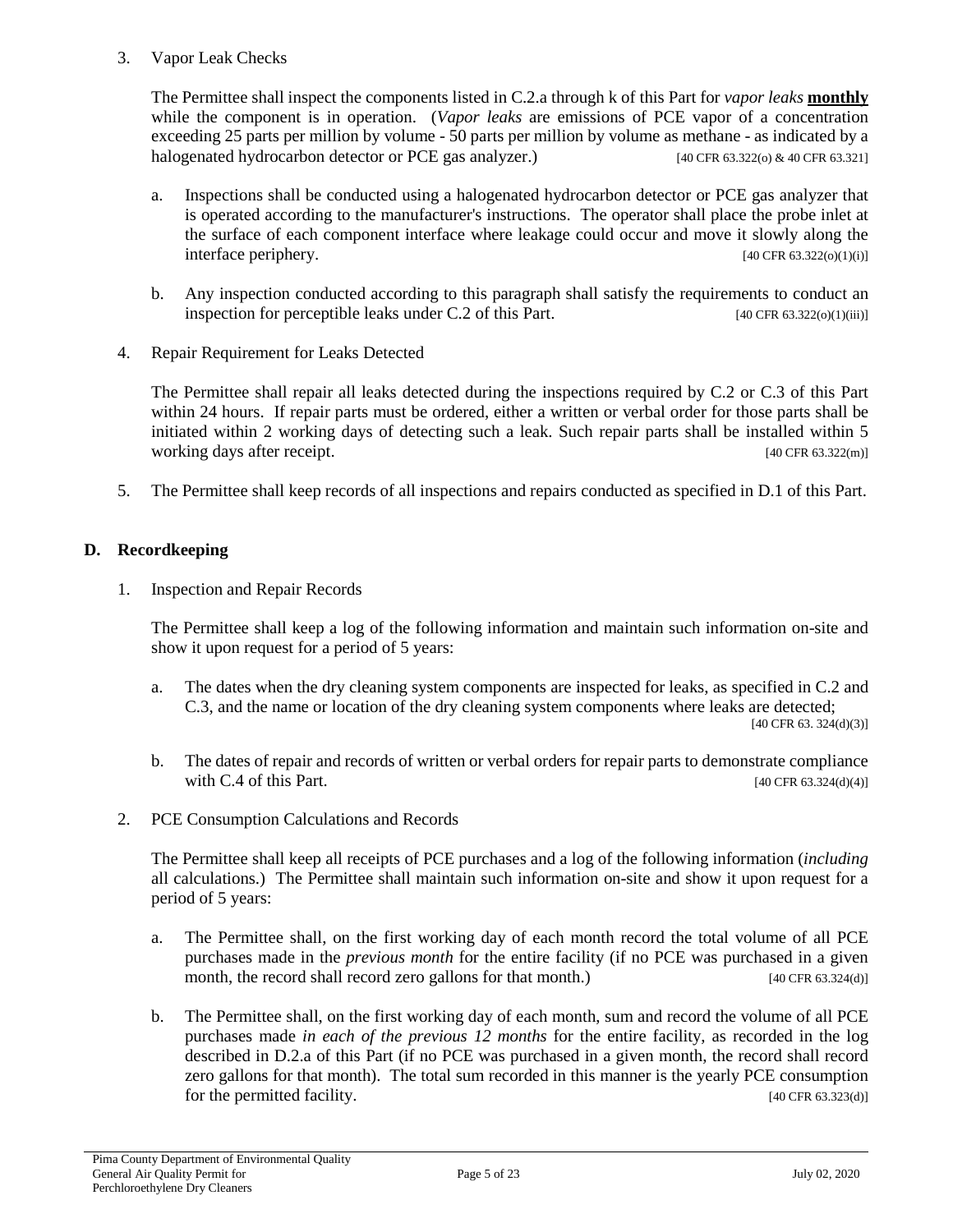#### 3. Vapor Leak Checks

The Permittee shall inspect the components listed in C.2.a through k of this Part for *vapor leaks* **monthly** while the component is in operation. (*Vapor leaks* are emissions of PCE vapor of a concentration exceeding 25 parts per million by volume - 50 parts per million by volume as methane - as indicated by a halogenated hydrocarbon detector or PCE gas analyzer.) [40 CFR 63.322(o) & 40 CFR 63.321]

- a. Inspections shall be conducted using a halogenated hydrocarbon detector or PCE gas analyzer that is operated according to the manufacturer's instructions. The operator shall place the probe inlet at the surface of each component interface where leakage could occur and move it slowly along the interface periphery. [40 CFR 63.322(o)(1)(i)]
- b. Any inspection conducted according to this paragraph shall satisfy the requirements to conduct an inspection for perceptible leaks under C.2 of this Part. [40 CFR 63.322(o)(1)(iii)]
- 4. Repair Requirement for Leaks Detected

The Permittee shall repair all leaks detected during the inspections required by C.2 or C.3 of this Part within 24 hours. If repair parts must be ordered, either a written or verbal order for those parts shall be initiated within 2 working days of detecting such a leak. Such repair parts shall be installed within 5 working days after receipt. [40 CFR 63.322(m)]

5. The Permittee shall keep records of all inspections and repairs conducted as specified in D.1 of this Part.

## **D. Recordkeeping**

1. Inspection and Repair Records

The Permittee shall keep a log of the following information and maintain such information on-site and show it upon request for a period of 5 years:

- a. The dates when the dry cleaning system components are inspected for leaks, as specified in C.2 and C.3, and the name or location of the dry cleaning system components where leaks are detected; [40 CFR 63. 324(d)(3)]
- b. The dates of repair and records of written or verbal orders for repair parts to demonstrate compliance with C.4 of this Part.  $[40 \text{ CFR } 63.324 \text{ (d)}(4)]$
- 2. PCE Consumption Calculations and Records

The Permittee shall keep all receipts of PCE purchases and a log of the following information (*including* all calculations.) The Permittee shall maintain such information on-site and show it upon request for a period of 5 years:

- a. The Permittee shall, on the first working day of each month record the total volume of all PCE purchases made in the *previous month* for the entire facility (if no PCE was purchased in a given month, the record shall record zero gallons for that month.) [40 CFR 63.324(d)]
- b. The Permittee shall, on the first working day of each month, sum and record the volume of all PCE purchases made *in each of the previous 12 months* for the entire facility, as recorded in the log described in D.2.a of this Part (if no PCE was purchased in a given month, the record shall record zero gallons for that month). The total sum recorded in this manner is the yearly PCE consumption for the permitted facility. [40 CFR 63.323(d)]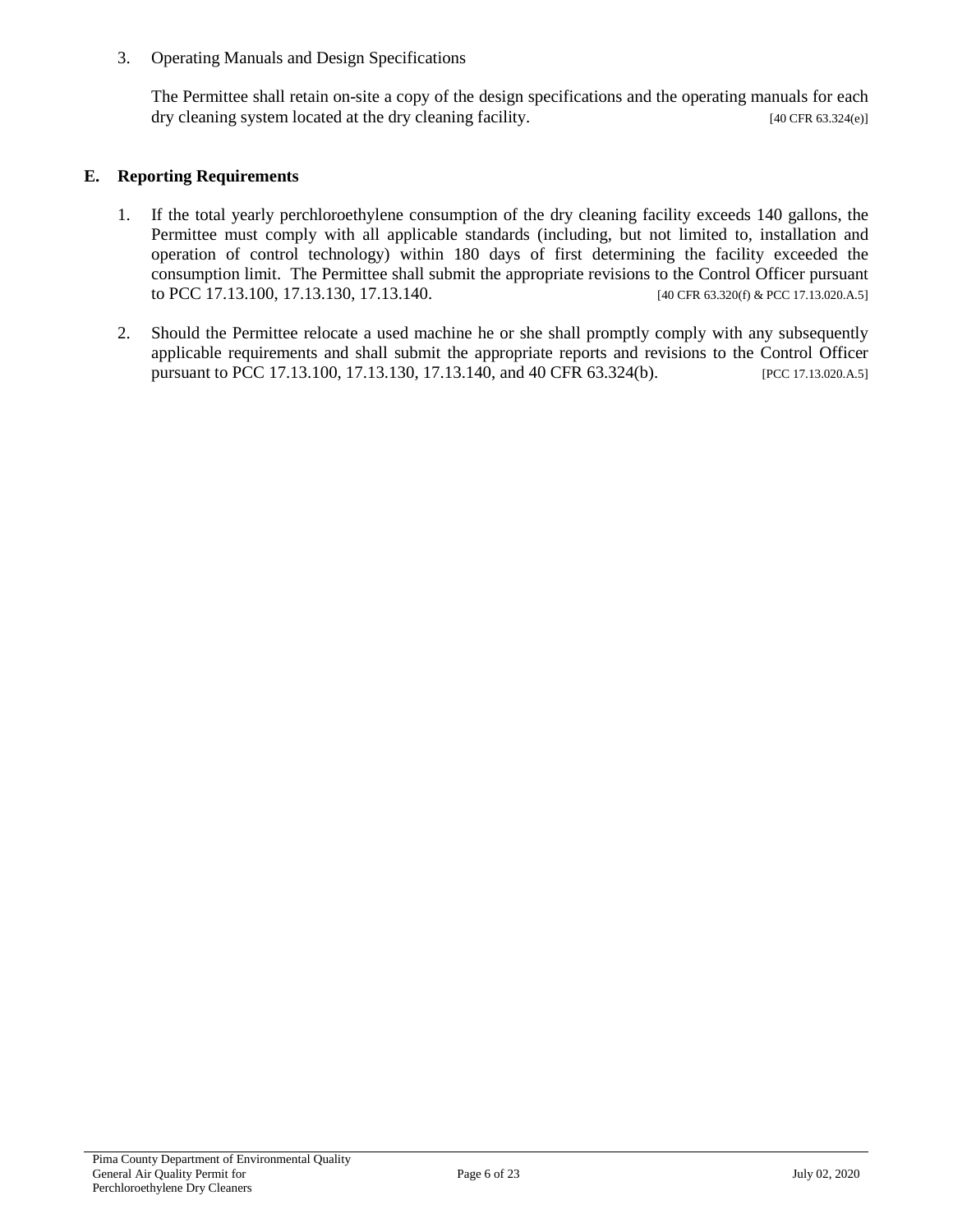3. Operating Manuals and Design Specifications

The Permittee shall retain on-site a copy of the design specifications and the operating manuals for each dry cleaning system located at the dry cleaning facility. [40 CFR 63.324(e)]

#### **E. Reporting Requirements**

- 1. If the total yearly perchloroethylene consumption of the dry cleaning facility exceeds 140 gallons, the Permittee must comply with all applicable standards (including, but not limited to, installation and operation of control technology) within 180 days of first determining the facility exceeded the consumption limit. The Permittee shall submit the appropriate revisions to the Control Officer pursuant to PCC 17.13.100, 17.13.130, 17.13.140. [40 CFR 63.320(f) & PCC 17.13.020.A.5]
- 2. Should the Permittee relocate a used machine he or she shall promptly comply with any subsequently applicable requirements and shall submit the appropriate reports and revisions to the Control Officer pursuant to PCC 17.13.100, 17.13.130, 17.13.140, and 40 CFR 63.324(b). [PCC 17.13.020.A.5]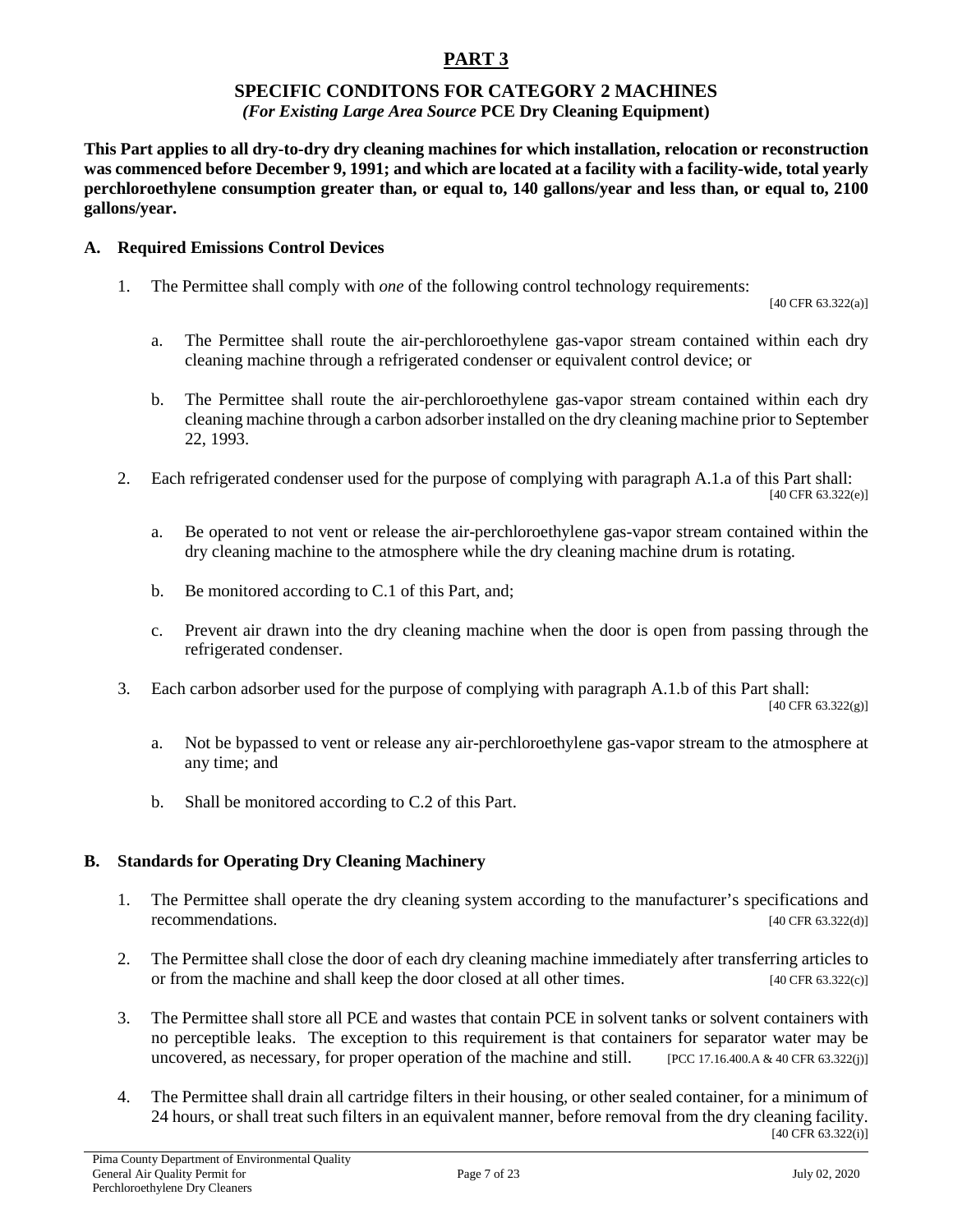## **SPECIFIC CONDITONS FOR CATEGORY 2 MACHINES**

#### *(For Existing Large Area Source* **PCE Dry Cleaning Equipment)**

**This Part applies to all dry-to-dry dry cleaning machines for which installation, relocation or reconstruction was commenced before December 9, 1991; and which are located at a facility with a facility-wide, total yearly perchloroethylene consumption greater than, or equal to, 140 gallons/year and less than, or equal to, 2100 gallons/year.**

#### **A. Required Emissions Control Devices**

1. The Permittee shall comply with *one* of the following control technology requirements:

[40 CFR 63.322(a)]

- a. The Permittee shall route the air-perchloroethylene gas-vapor stream contained within each dry cleaning machine through a refrigerated condenser or equivalent control device; or
- b. The Permittee shall route the air-perchloroethylene gas-vapor stream contained within each dry cleaning machine through a carbon adsorber installed on the dry cleaning machine prior to September 22, 1993.
- 2. Each refrigerated condenser used for the purpose of complying with paragraph A.1.a of this Part shall: [40 CFR 63.322(e)]

a. Be operated to not vent or release the air-perchloroethylene gas-vapor stream contained within the dry cleaning machine to the atmosphere while the dry cleaning machine drum is rotating.

- b. Be monitored according to C.1 of this Part, and;
- c. Prevent air drawn into the dry cleaning machine when the door is open from passing through the refrigerated condenser.
- 3. Each carbon adsorber used for the purpose of complying with paragraph A.1.b of this Part shall:

[40 CFR  $63.322(g)$ ]

- a. Not be bypassed to vent or release any air-perchloroethylene gas-vapor stream to the atmosphere at any time; and
- b. Shall be monitored according to C.2 of this Part.

# **B. Standards for Operating Dry Cleaning Machinery**

- 1. The Permittee shall operate the dry cleaning system according to the manufacturer's specifications and recommendations. [40 CFR 63.322(d)]
- 2. The Permittee shall close the door of each dry cleaning machine immediately after transferring articles to or from the machine and shall keep the door closed at all other times.  $[40 \text{ CFR } 63.322(c)]$
- 3. The Permittee shall store all PCE and wastes that contain PCE in solvent tanks or solvent containers with no perceptible leaks. The exception to this requirement is that containers for separator water may be uncovered, as necessary, for proper operation of the machine and still. [PCC 17.16.400.A & 40 CFR 63.322(j)]
- 4. The Permittee shall drain all cartridge filters in their housing, or other sealed container, for a minimum of 24 hours, or shall treat such filters in an equivalent manner, before removal from the dry cleaning facility. [40 CFR 63.322(i)]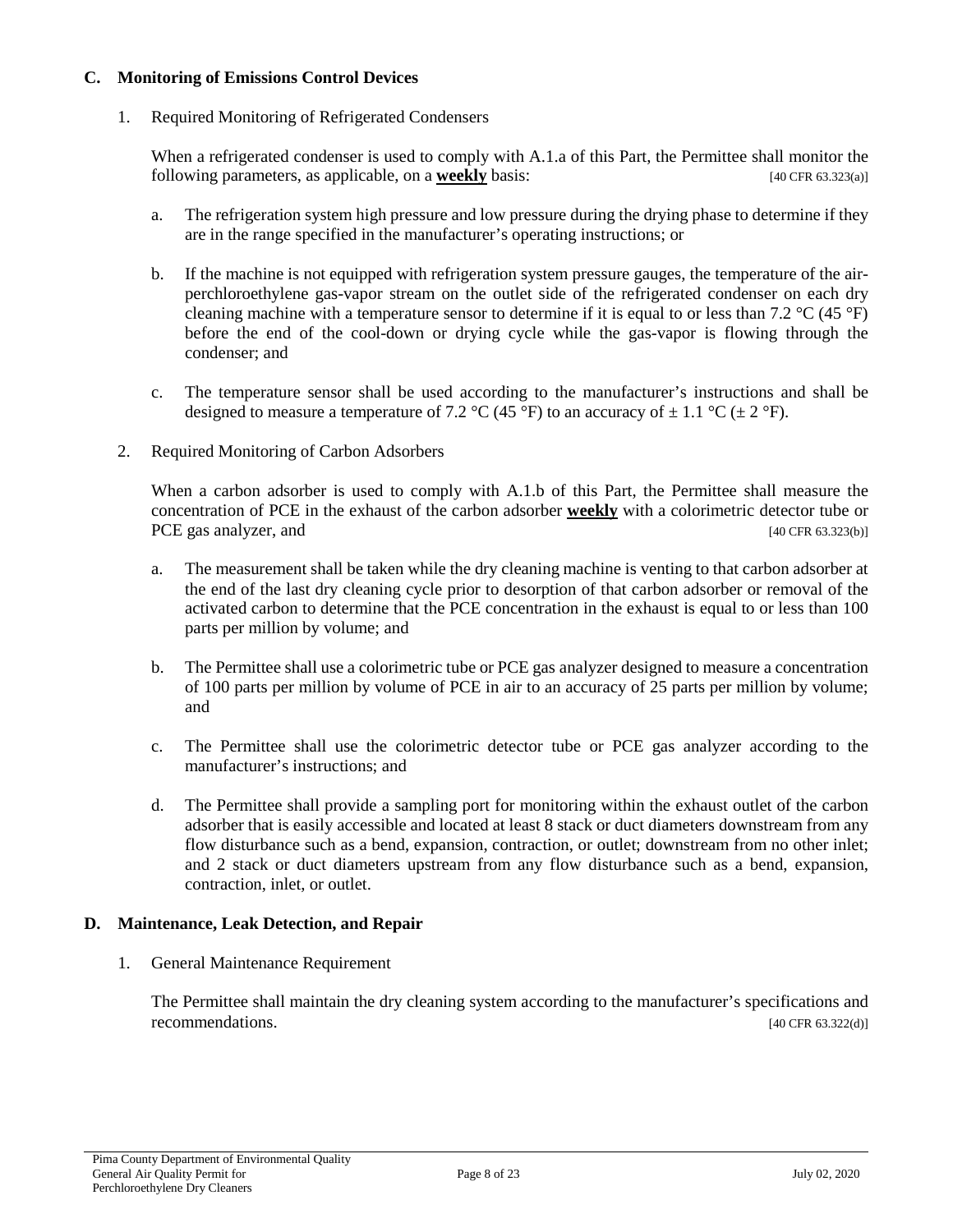#### **C. Monitoring of Emissions Control Devices**

1. Required Monitoring of Refrigerated Condensers

When a refrigerated condenser is used to comply with A.1.a of this Part, the Permittee shall monitor the following parameters, as applicable, on a **weekly** basis: [40 CFR 63.323(a)]

- a. The refrigeration system high pressure and low pressure during the drying phase to determine if they are in the range specified in the manufacturer's operating instructions; or
- b. If the machine is not equipped with refrigeration system pressure gauges, the temperature of the airperchloroethylene gas-vapor stream on the outlet side of the refrigerated condenser on each dry cleaning machine with a temperature sensor to determine if it is equal to or less than 7.2  $\rm{^{\circ}C}$  (45  $\rm{^{\circ}F}$ ) before the end of the cool-down or drying cycle while the gas-vapor is flowing through the condenser; and
- c. The temperature sensor shall be used according to the manufacturer's instructions and shall be designed to measure a temperature of 7.2 °C (45 °F) to an accuracy of  $\pm$  1.1 °C ( $\pm$  2 °F).
- 2. Required Monitoring of Carbon Adsorbers

When a carbon adsorber is used to comply with A.1.b of this Part, the Permittee shall measure the concentration of PCE in the exhaust of the carbon adsorber **weekly** with a colorimetric detector tube or PCE gas analyzer, and [40 CFR 63.323(b)]

- a. The measurement shall be taken while the dry cleaning machine is venting to that carbon adsorber at the end of the last dry cleaning cycle prior to desorption of that carbon adsorber or removal of the activated carbon to determine that the PCE concentration in the exhaust is equal to or less than 100 parts per million by volume; and
- b. The Permittee shall use a colorimetric tube or PCE gas analyzer designed to measure a concentration of 100 parts per million by volume of PCE in air to an accuracy of 25 parts per million by volume; and
- c. The Permittee shall use the colorimetric detector tube or PCE gas analyzer according to the manufacturer's instructions; and
- d. The Permittee shall provide a sampling port for monitoring within the exhaust outlet of the carbon adsorber that is easily accessible and located at least 8 stack or duct diameters downstream from any flow disturbance such as a bend, expansion, contraction, or outlet; downstream from no other inlet; and 2 stack or duct diameters upstream from any flow disturbance such as a bend, expansion, contraction, inlet, or outlet.

## **D. Maintenance, Leak Detection, and Repair**

1. General Maintenance Requirement

The Permittee shall maintain the dry cleaning system according to the manufacturer's specifications and recommendations. [40 CFR 63.322(d)]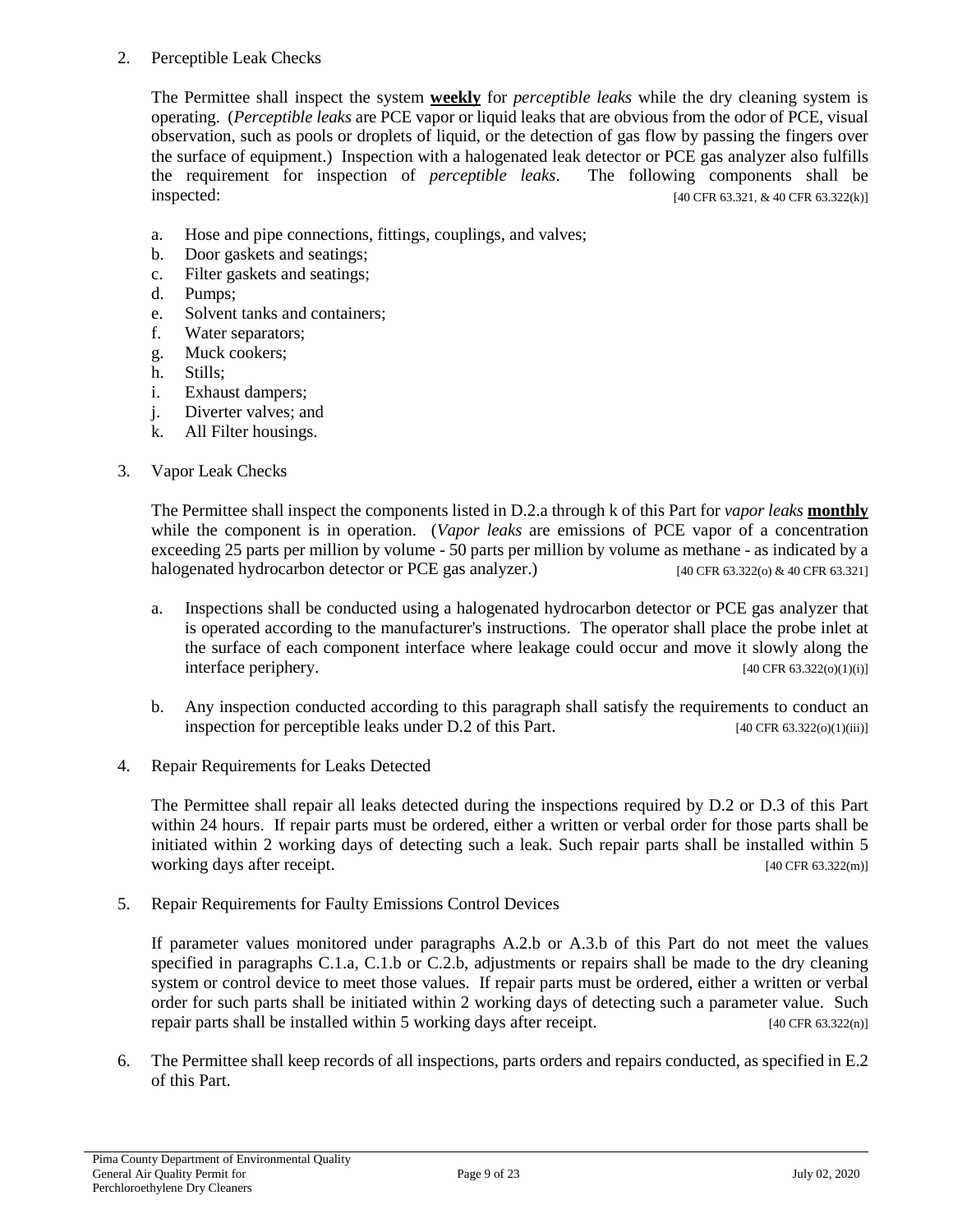#### 2. Perceptible Leak Checks

The Permittee shall inspect the system **weekly** for *perceptible leaks* while the dry cleaning system is operating. (*Perceptible leaks* are PCE vapor or liquid leaks that are obvious from the odor of PCE, visual observation, such as pools or droplets of liquid, or the detection of gas flow by passing the fingers over the surface of equipment.) Inspection with a halogenated leak detector or PCE gas analyzer also fulfills the requirement for inspection of *perceptible leaks*. The following components shall be inspected: [40 CFR 63.321, & 40 CFR 63.322(k)]

- a. Hose and pipe connections, fittings, couplings, and valves;
- b. Door gaskets and seatings;
- c. Filter gaskets and seatings;
- d. Pumps;
- e. Solvent tanks and containers;
- f. Water separators;
- g. Muck cookers;
- h. Stills;
- i. Exhaust dampers;
- j. Diverter valves; and
- k. All Filter housings.

#### 3. Vapor Leak Checks

The Permittee shall inspect the components listed in D.2.a through k of this Part for *vapor leaks* **monthly** while the component is in operation. (*Vapor leaks* are emissions of PCE vapor of a concentration exceeding 25 parts per million by volume - 50 parts per million by volume as methane - as indicated by a halogenated hydrocarbon detector or PCE gas analyzer.) [40 CFR 63.322(o) & 40 CFR 63.321]

- a. Inspections shall be conducted using a halogenated hydrocarbon detector or PCE gas analyzer that is operated according to the manufacturer's instructions. The operator shall place the probe inlet at the surface of each component interface where leakage could occur and move it slowly along the interface periphery. [40 CFR 63.322(o)(1)(i)]
- b. Any inspection conducted according to this paragraph shall satisfy the requirements to conduct an inspection for perceptible leaks under D.2 of this Part. [40 CFR 63.322(o)(1)(iii)]
- 4. Repair Requirements for Leaks Detected

The Permittee shall repair all leaks detected during the inspections required by D.2 or D.3 of this Part within 24 hours. If repair parts must be ordered, either a written or verbal order for those parts shall be initiated within 2 working days of detecting such a leak. Such repair parts shall be installed within 5 working days after receipt. [40 CFR 63.322(m)]

5. Repair Requirements for Faulty Emissions Control Devices

If parameter values monitored under paragraphs A.2.b or A.3.b of this Part do not meet the values specified in paragraphs C.1.a, C.1.b or C.2.b, adjustments or repairs shall be made to the dry cleaning system or control device to meet those values. If repair parts must be ordered, either a written or verbal order for such parts shall be initiated within 2 working days of detecting such a parameter value. Such repair parts shall be installed within 5 working days after receipt. [40 CFR 63.322(n)]

6. The Permittee shall keep records of all inspections, parts orders and repairs conducted, as specified in E.2 of this Part.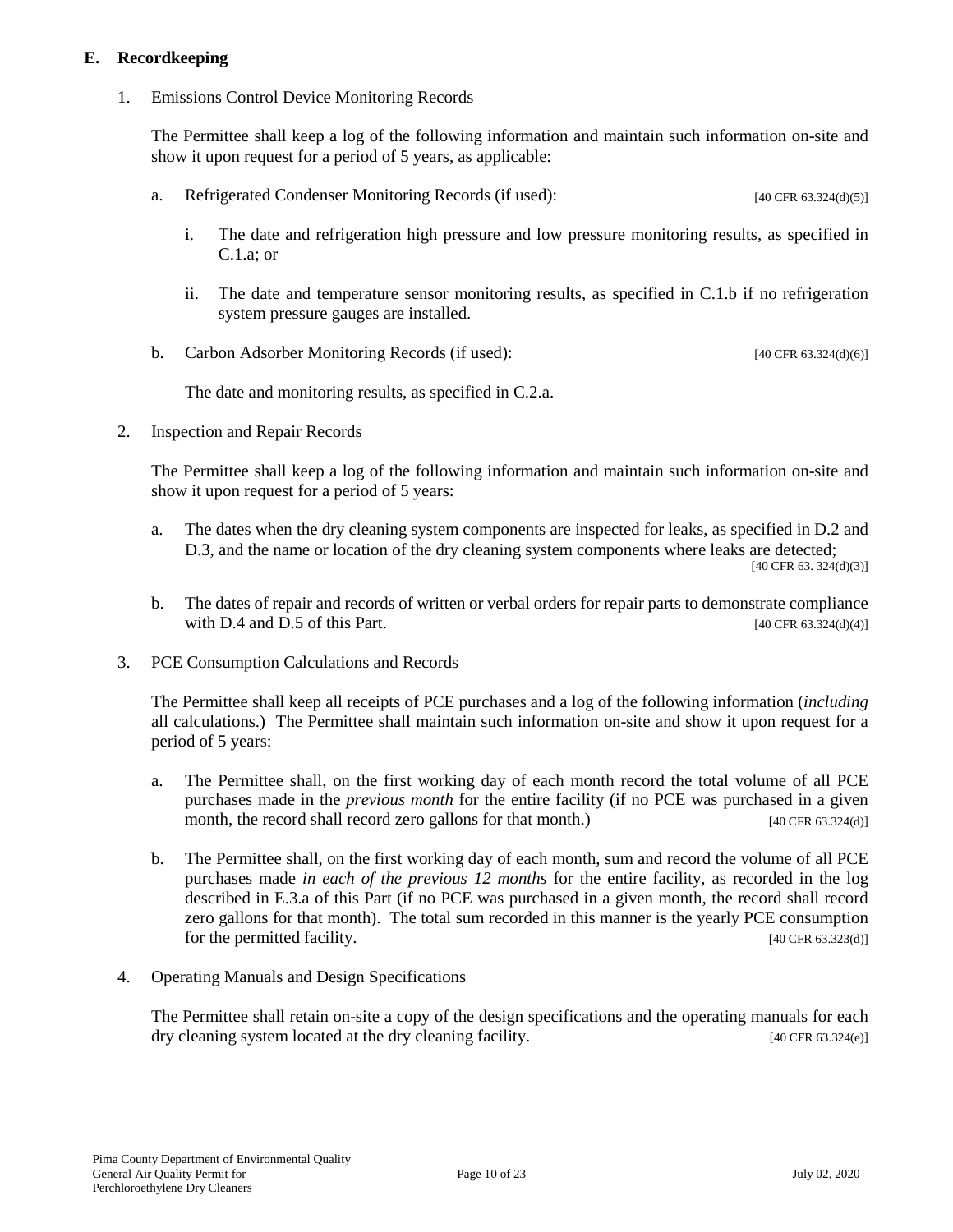## **E. Recordkeeping**

1. Emissions Control Device Monitoring Records

The Permittee shall keep a log of the following information and maintain such information on-site and show it upon request for a period of 5 years, as applicable:

- a. Refrigerated Condenser Monitoring Records (if used): [40 CFR 63.324(d)(5)]
	- i. The date and refrigeration high pressure and low pressure monitoring results, as specified in C.1.a; or
	- ii. The date and temperature sensor monitoring results, as specified in C.1.b if no refrigeration system pressure gauges are installed.
- b. Carbon Adsorber Monitoring Records (if used): [40 CFR 63.324(d)(6)]

The date and monitoring results, as specified in C.2.a.

2. Inspection and Repair Records

The Permittee shall keep a log of the following information and maintain such information on-site and show it upon request for a period of 5 years:

- a. The dates when the dry cleaning system components are inspected for leaks, as specified in D.2 and D.3, and the name or location of the dry cleaning system components where leaks are detected;  $[40 \text{ CFR } 63.324(d)(3)]$
- b. The dates of repair and records of written or verbal orders for repair parts to demonstrate compliance with D.4 and D.5 of this Part.  $[40 \text{ CFR } 63.324 \text{ (d)}(4)]$
- 3. PCE Consumption Calculations and Records

The Permittee shall keep all receipts of PCE purchases and a log of the following information (*including* all calculations.) The Permittee shall maintain such information on-site and show it upon request for a period of 5 years:

- a. The Permittee shall, on the first working day of each month record the total volume of all PCE purchases made in the *previous month* for the entire facility (if no PCE was purchased in a given month, the record shall record zero gallons for that month.) [40 CFR 63.324(d)]
- b. The Permittee shall, on the first working day of each month, sum and record the volume of all PCE purchases made *in each of the previous 12 months* for the entire facility, as recorded in the log described in E.3.a of this Part (if no PCE was purchased in a given month, the record shall record zero gallons for that month). The total sum recorded in this manner is the yearly PCE consumption for the permitted facility. [40 CFR 63.323(d)]
- 4. Operating Manuals and Design Specifications

The Permittee shall retain on-site a copy of the design specifications and the operating manuals for each dry cleaning system located at the dry cleaning facility. [40 CFR 63.324(e)]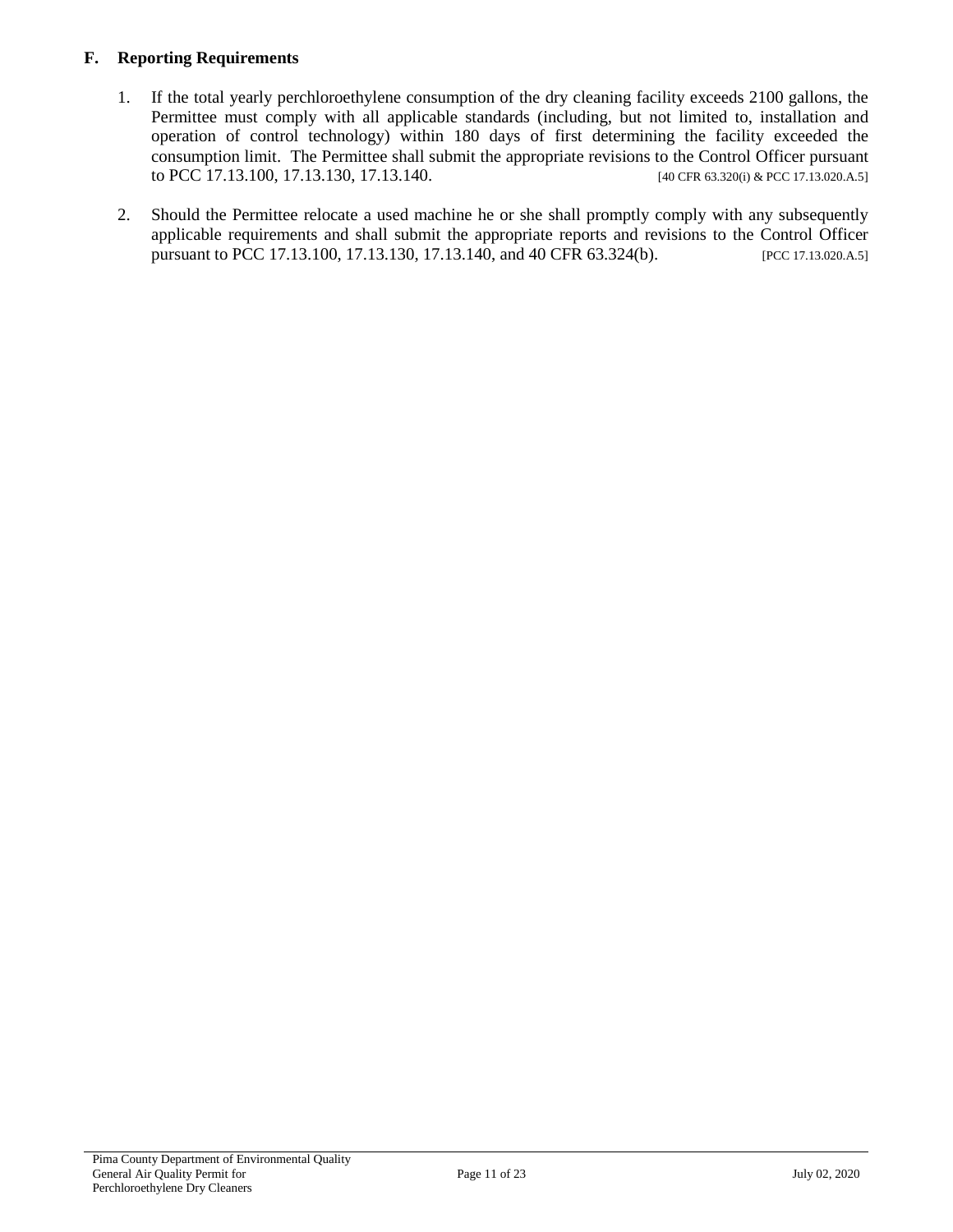## **F. Reporting Requirements**

- 1. If the total yearly perchloroethylene consumption of the dry cleaning facility exceeds 2100 gallons, the Permittee must comply with all applicable standards (including, but not limited to, installation and operation of control technology) within 180 days of first determining the facility exceeded the consumption limit. The Permittee shall submit the appropriate revisions to the Control Officer pursuant to PCC 17.13.100, 17.13.130, 17.13.140. [40 CFR 63.320(i) & PCC 17.13.020.A.5]
- 2. Should the Permittee relocate a used machine he or she shall promptly comply with any subsequently applicable requirements and shall submit the appropriate reports and revisions to the Control Officer pursuant to PCC 17.13.100, 17.13.130, 17.13.140, and 40 CFR 63.324(b). [PCC 17.13.020.A.5]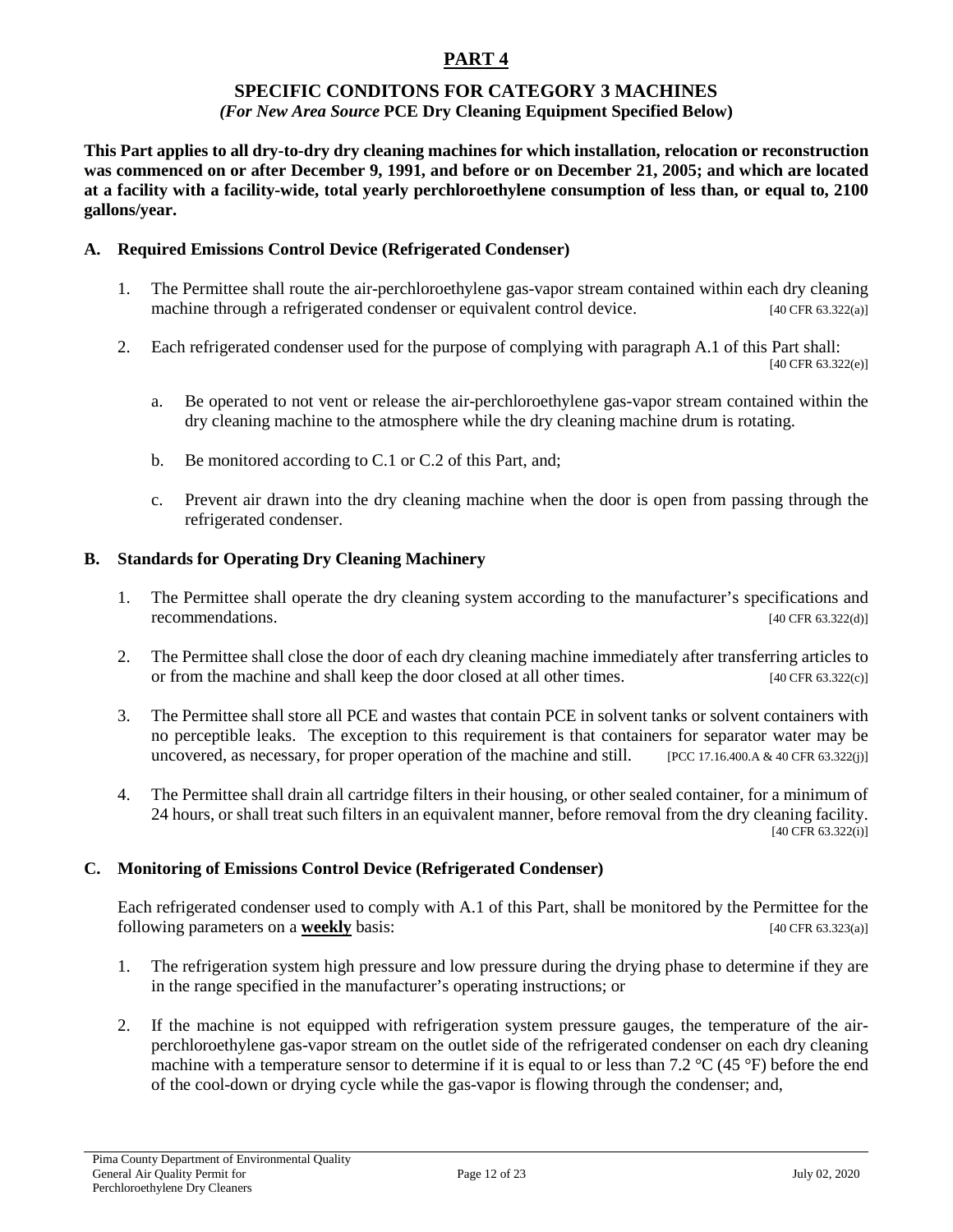## **SPECIFIC CONDITONS FOR CATEGORY 3 MACHINES**

#### *(For New Area Source* **PCE Dry Cleaning Equipment Specified Below)**

**This Part applies to all dry-to-dry dry cleaning machines for which installation, relocation or reconstruction was commenced on or after December 9, 1991, and before or on December 21, 2005; and which are located at a facility with a facility-wide, total yearly perchloroethylene consumption of less than, or equal to, 2100 gallons/year.**

#### **A. Required Emissions Control Device (Refrigerated Condenser)**

- 1. The Permittee shall route the air-perchloroethylene gas-vapor stream contained within each dry cleaning machine through a refrigerated condenser or equivalent control device.  $[40 \text{ CFR } 63.322(a)]$
- 2. Each refrigerated condenser used for the purpose of complying with paragraph A.1 of this Part shall: [40 CFR 63.322(e)]
	- a. Be operated to not vent or release the air-perchloroethylene gas-vapor stream contained within the dry cleaning machine to the atmosphere while the dry cleaning machine drum is rotating.
	- b. Be monitored according to C.1 or C.2 of this Part, and;
	- c. Prevent air drawn into the dry cleaning machine when the door is open from passing through the refrigerated condenser.

#### **B. Standards for Operating Dry Cleaning Machinery**

- 1. The Permittee shall operate the dry cleaning system according to the manufacturer's specifications and recommendations. [40 CFR 63.322(d)]
- 2. The Permittee shall close the door of each dry cleaning machine immediately after transferring articles to or from the machine and shall keep the door closed at all other times.  $[40 \text{ CFR } 63.322(c)]$
- 3. The Permittee shall store all PCE and wastes that contain PCE in solvent tanks or solvent containers with no perceptible leaks. The exception to this requirement is that containers for separator water may be uncovered, as necessary, for proper operation of the machine and still. [PCC 17.16.400.A & 40 CFR 63.322(j)]
- 4. The Permittee shall drain all cartridge filters in their housing, or other sealed container, for a minimum of 24 hours, or shall treat such filters in an equivalent manner, before removal from the dry cleaning facility. [40 CFR 63.322(i)]

## **C. Monitoring of Emissions Control Device (Refrigerated Condenser)**

Each refrigerated condenser used to comply with A.1 of this Part, shall be monitored by the Permittee for the following parameters on a **weekly** basis: [40 CFR 63.323(a)]

- 1. The refrigeration system high pressure and low pressure during the drying phase to determine if they are in the range specified in the manufacturer's operating instructions; or
- 2. If the machine is not equipped with refrigeration system pressure gauges, the temperature of the airperchloroethylene gas-vapor stream on the outlet side of the refrigerated condenser on each dry cleaning machine with a temperature sensor to determine if it is equal to or less than 7.2 °C (45 °F) before the end of the cool-down or drying cycle while the gas-vapor is flowing through the condenser; and,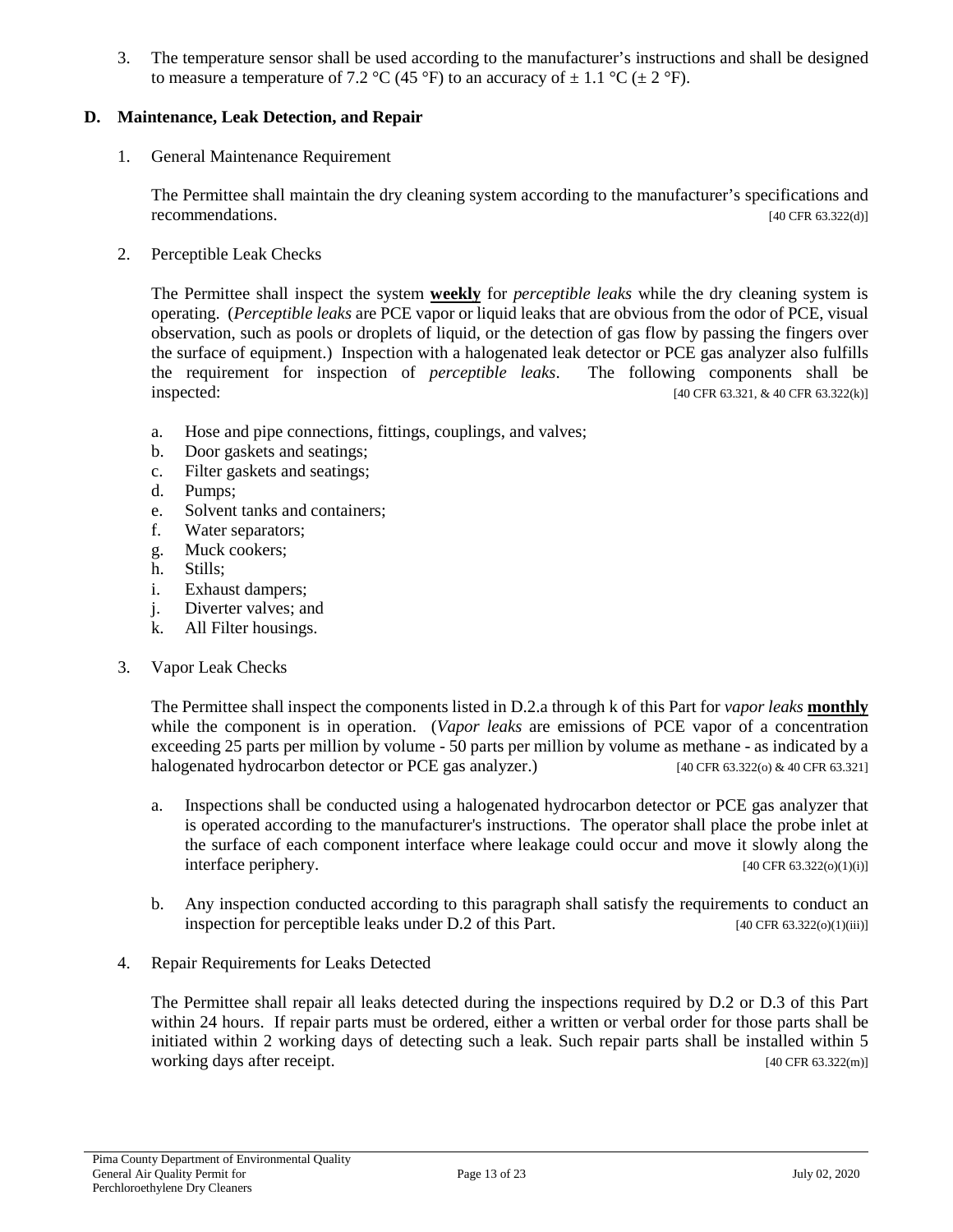3. The temperature sensor shall be used according to the manufacturer's instructions and shall be designed to measure a temperature of 7.2 °C (45 °F) to an accuracy of  $\pm$  1.1 °C ( $\pm$  2 °F).

#### **D. Maintenance, Leak Detection, and Repair**

1. General Maintenance Requirement

The Permittee shall maintain the dry cleaning system according to the manufacturer's specifications and recommendations. [40 CFR 63.322(d)]

2. Perceptible Leak Checks

The Permittee shall inspect the system **weekly** for *perceptible leaks* while the dry cleaning system is operating. (*Perceptible leaks* are PCE vapor or liquid leaks that are obvious from the odor of PCE, visual observation, such as pools or droplets of liquid, or the detection of gas flow by passing the fingers over the surface of equipment.) Inspection with a halogenated leak detector or PCE gas analyzer also fulfills the requirement for inspection of *perceptible leaks*. The following components shall be inspected: [40 CFR 63.321, & 40 CFR 63.322(k)]

- a. Hose and pipe connections, fittings, couplings, and valves;
- b. Door gaskets and seatings;
- c. Filter gaskets and seatings;
- d. Pumps;
- e. Solvent tanks and containers;
- f. Water separators;
- g. Muck cookers;
- h. Stills;
- i. Exhaust dampers;
- j. Diverter valves; and
- k. All Filter housings.
- 3. Vapor Leak Checks

The Permittee shall inspect the components listed in D.2.a through k of this Part for *vapor leaks* **monthly** while the component is in operation. (*Vapor leaks* are emissions of PCE vapor of a concentration exceeding 25 parts per million by volume - 50 parts per million by volume as methane - as indicated by a halogenated hydrocarbon detector or PCE gas analyzer.) [40 CFR 63.322(o) & 40 CFR 63.321]

- a. Inspections shall be conducted using a halogenated hydrocarbon detector or PCE gas analyzer that is operated according to the manufacturer's instructions. The operator shall place the probe inlet at the surface of each component interface where leakage could occur and move it slowly along the interface periphery. [40 CFR 63.322(o)(1)(i)]
- b. Any inspection conducted according to this paragraph shall satisfy the requirements to conduct an inspection for perceptible leaks under D.2 of this Part.  $[40 \text{ CFR } 63.322(0)(1)(iii)]$
- 4. Repair Requirements for Leaks Detected

The Permittee shall repair all leaks detected during the inspections required by D.2 or D.3 of this Part within 24 hours. If repair parts must be ordered, either a written or verbal order for those parts shall be initiated within 2 working days of detecting such a leak. Such repair parts shall be installed within 5 working days after receipt. [40 CFR 63.322(m)]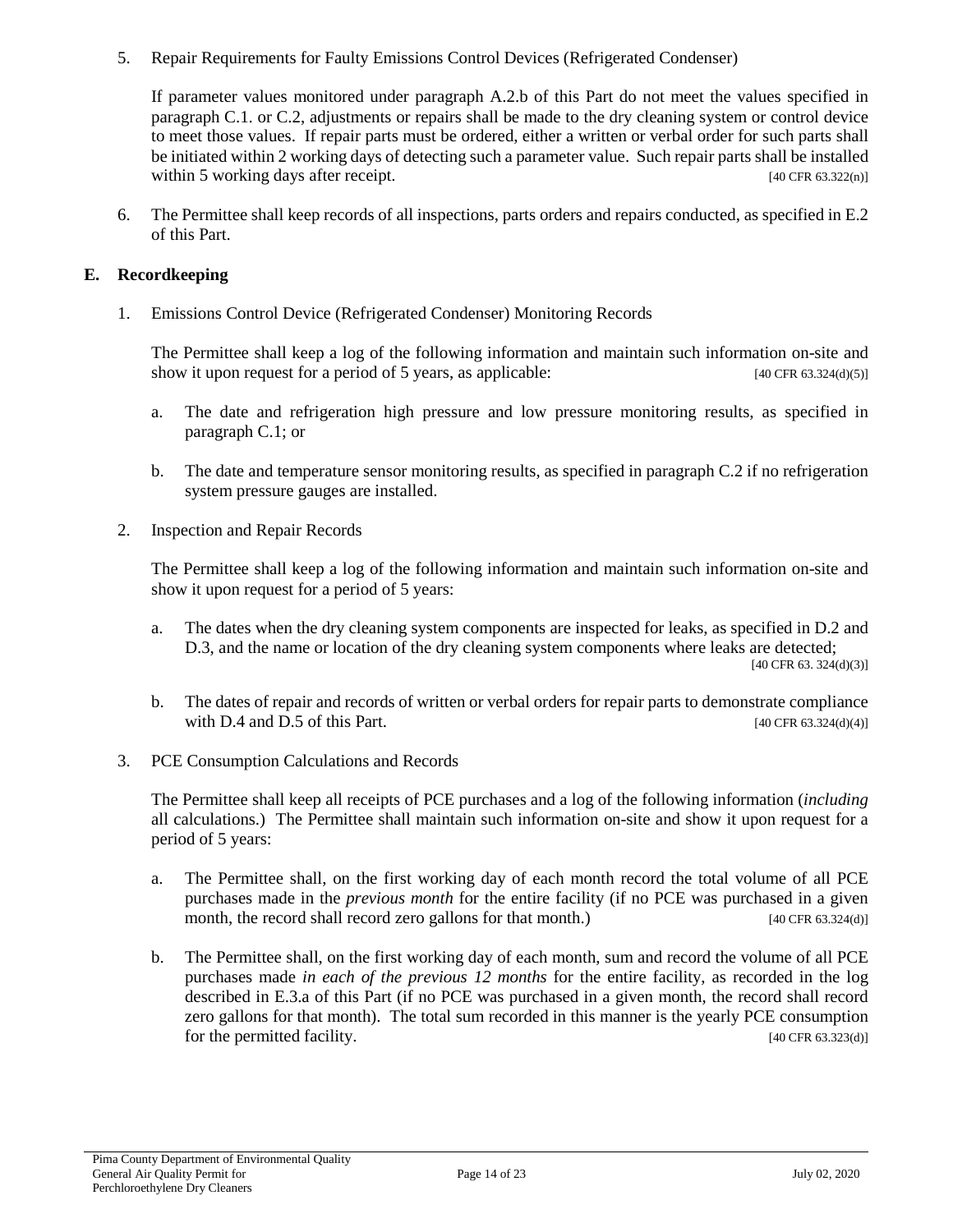5. Repair Requirements for Faulty Emissions Control Devices (Refrigerated Condenser)

If parameter values monitored under paragraph A.2.b of this Part do not meet the values specified in paragraph C.1. or C.2, adjustments or repairs shall be made to the dry cleaning system or control device to meet those values. If repair parts must be ordered, either a written or verbal order for such parts shall be initiated within 2 working days of detecting such a parameter value. Such repair parts shall be installed within 5 working days after receipt. [40 CFR 63.322(n)]

6. The Permittee shall keep records of all inspections, parts orders and repairs conducted, as specified in E.2 of this Part.

## **E. Recordkeeping**

1. Emissions Control Device (Refrigerated Condenser) Monitoring Records

The Permittee shall keep a log of the following information and maintain such information on-site and show it upon request for a period of 5 years, as applicable:  $[40 \text{ CFR } 63.324 \text{ (d)(5)}]$ 

- a. The date and refrigeration high pressure and low pressure monitoring results, as specified in paragraph C.1; or
- b. The date and temperature sensor monitoring results, as specified in paragraph C.2 if no refrigeration system pressure gauges are installed.
- 2. Inspection and Repair Records

The Permittee shall keep a log of the following information and maintain such information on-site and show it upon request for a period of 5 years:

- a. The dates when the dry cleaning system components are inspected for leaks, as specified in D.2 and D.3, and the name or location of the dry cleaning system components where leaks are detected; [40 CFR 63. 324(d)(3)]
- b. The dates of repair and records of written or verbal orders for repair parts to demonstrate compliance with D.4 and D.5 of this Part.  $[40 \text{ CFR } 63.324 \text{ (d)}(4)]$
- 3. PCE Consumption Calculations and Records

The Permittee shall keep all receipts of PCE purchases and a log of the following information (*including* all calculations.) The Permittee shall maintain such information on-site and show it upon request for a period of 5 years:

- a. The Permittee shall, on the first working day of each month record the total volume of all PCE purchases made in the *previous month* for the entire facility (if no PCE was purchased in a given month, the record shall record zero gallons for that month.) [40 CFR 63.324(d)]
- b. The Permittee shall, on the first working day of each month, sum and record the volume of all PCE purchases made *in each of the previous 12 months* for the entire facility, as recorded in the log described in E.3.a of this Part (if no PCE was purchased in a given month, the record shall record zero gallons for that month). The total sum recorded in this manner is the yearly PCE consumption for the permitted facility. [40 CFR 63.323(d)]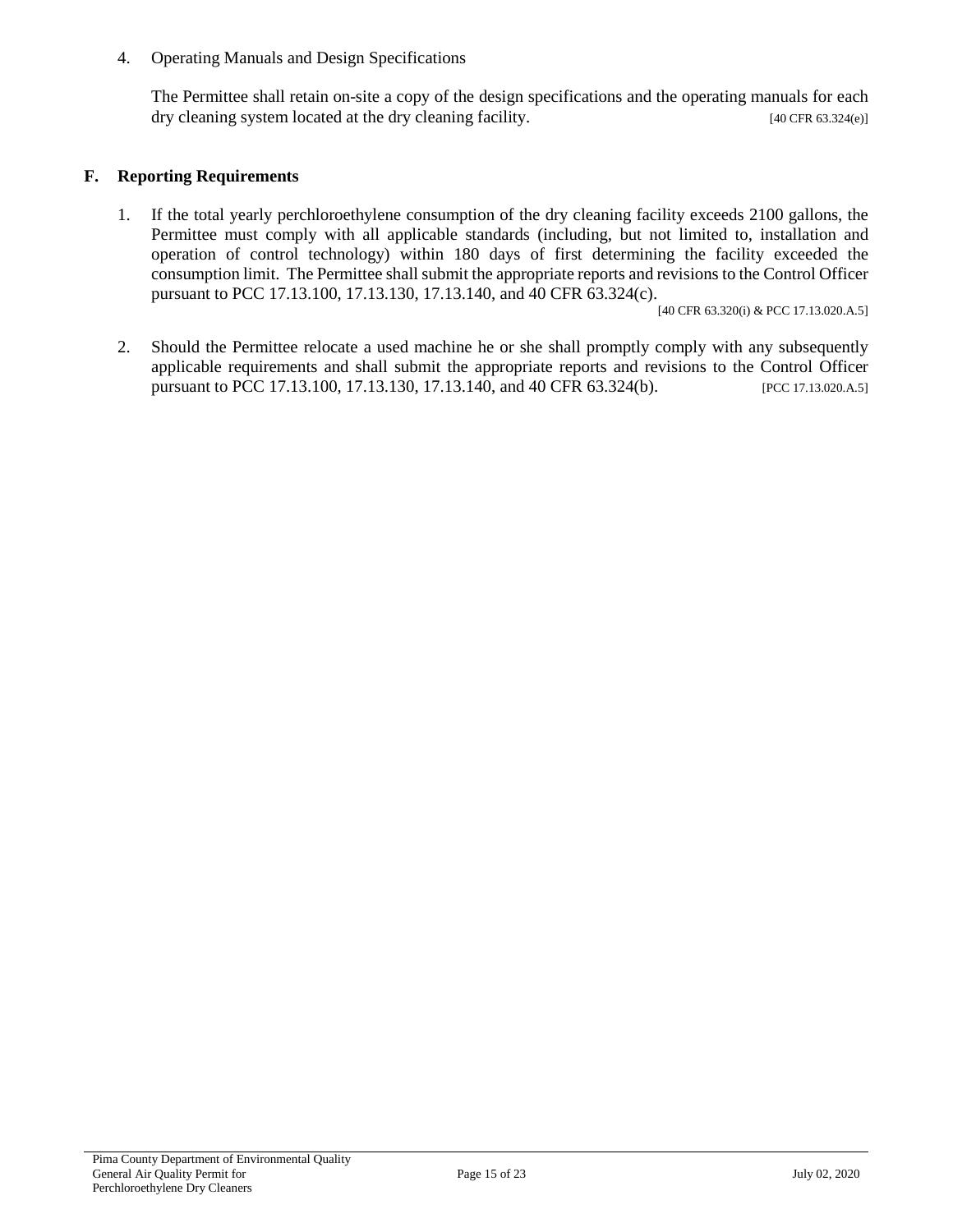4. Operating Manuals and Design Specifications

The Permittee shall retain on-site a copy of the design specifications and the operating manuals for each dry cleaning system located at the dry cleaning facility. [40 CFR 63.324(e)]

#### **F. Reporting Requirements**

1. If the total yearly perchloroethylene consumption of the dry cleaning facility exceeds 2100 gallons, the Permittee must comply with all applicable standards (including, but not limited to, installation and operation of control technology) within 180 days of first determining the facility exceeded the consumption limit. The Permittee shall submit the appropriate reports and revisions to the Control Officer pursuant to PCC 17.13.100, 17.13.130, 17.13.140, and 40 CFR 63.324(c).

[40 CFR 63.320(i) & PCC 17.13.020.A.5]

2. Should the Permittee relocate a used machine he or she shall promptly comply with any subsequently applicable requirements and shall submit the appropriate reports and revisions to the Control Officer pursuant to PCC 17.13.100, 17.13.130, 17.13.140, and 40 CFR 63.324(b). [PCC 17.13.020.A.5]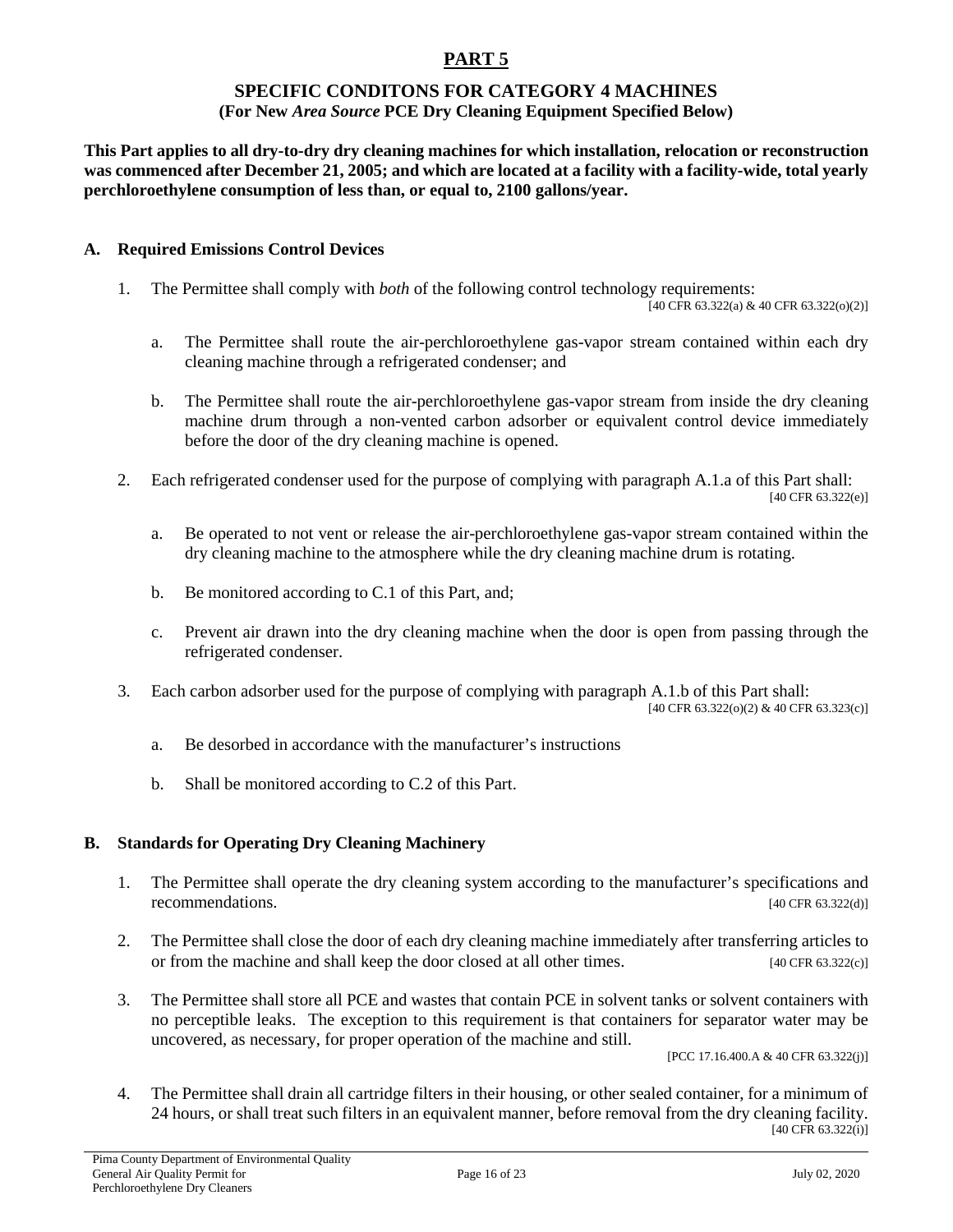# **SPECIFIC CONDITONS FOR CATEGORY 4 MACHINES**

## **(For New** *Area Source* **PCE Dry Cleaning Equipment Specified Below)**

**This Part applies to all dry-to-dry dry cleaning machines for which installation, relocation or reconstruction was commenced after December 21, 2005; and which are located at a facility with a facility-wide, total yearly perchloroethylene consumption of less than, or equal to, 2100 gallons/year.**

#### **A. Required Emissions Control Devices**

1. The Permittee shall comply with *both* of the following control technology requirements:

 $[40 \text{ CFR } 63.322(a) \& 40 \text{ CFR } 63.322(0)(2)]$ 

- a. The Permittee shall route the air-perchloroethylene gas-vapor stream contained within each dry cleaning machine through a refrigerated condenser; and
- b. The Permittee shall route the air-perchloroethylene gas-vapor stream from inside the dry cleaning machine drum through a non-vented carbon adsorber or equivalent control device immediately before the door of the dry cleaning machine is opened.
- 2. Each refrigerated condenser used for the purpose of complying with paragraph A.1.a of this Part shall: [40 CFR 63.322(e)]
	- a. Be operated to not vent or release the air-perchloroethylene gas-vapor stream contained within the dry cleaning machine to the atmosphere while the dry cleaning machine drum is rotating.
	- b. Be monitored according to C.1 of this Part, and;
	- c. Prevent air drawn into the dry cleaning machine when the door is open from passing through the refrigerated condenser.
- 3. Each carbon adsorber used for the purpose of complying with paragraph A.1.b of this Part shall: [40 CFR 63.322(o)(2) & 40 CFR 63.323(c)]
	- a. Be desorbed in accordance with the manufacturer's instructions
	- b. Shall be monitored according to C.2 of this Part.

## **B. Standards for Operating Dry Cleaning Machinery**

- 1. The Permittee shall operate the dry cleaning system according to the manufacturer's specifications and recommendations. [40 CFR 63.322(d)]
- 2. The Permittee shall close the door of each dry cleaning machine immediately after transferring articles to or from the machine and shall keep the door closed at all other times. [40 CFR 63.322(c)]
- 3. The Permittee shall store all PCE and wastes that contain PCE in solvent tanks or solvent containers with no perceptible leaks. The exception to this requirement is that containers for separator water may be uncovered, as necessary, for proper operation of the machine and still.

[PCC 17.16.400.A & 40 CFR 63.322(j)]

4. The Permittee shall drain all cartridge filters in their housing, or other sealed container, for a minimum of 24 hours, or shall treat such filters in an equivalent manner, before removal from the dry cleaning facility. [40 CFR 63.322(i)]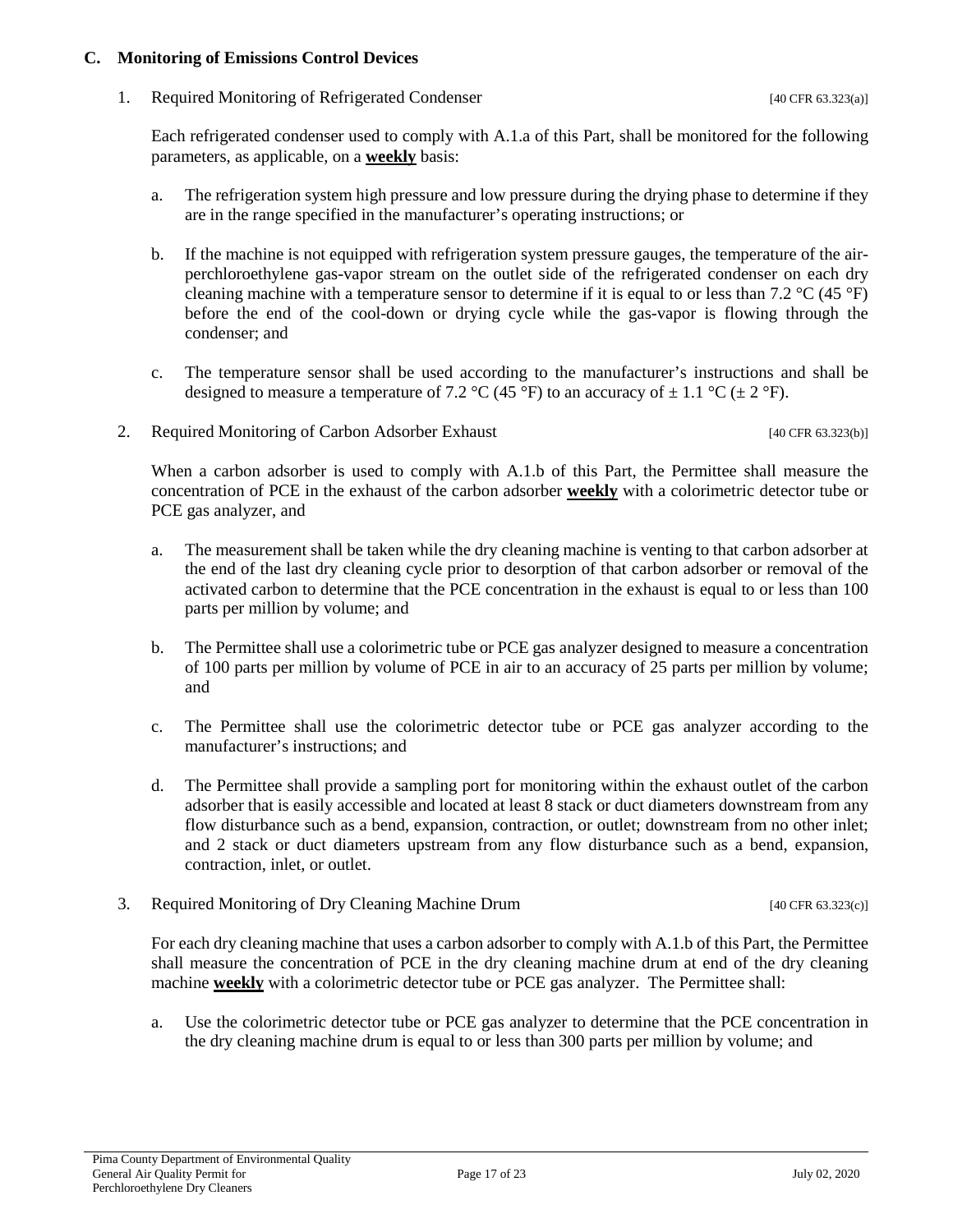#### **C. Monitoring of Emissions Control Devices**

1. Required Monitoring of Refrigerated Condenser [40 CFR 63.323(a)]

Each refrigerated condenser used to comply with A.1.a of this Part, shall be monitored for the following parameters, as applicable, on a **weekly** basis:

- a. The refrigeration system high pressure and low pressure during the drying phase to determine if they are in the range specified in the manufacturer's operating instructions; or
- b. If the machine is not equipped with refrigeration system pressure gauges, the temperature of the airperchloroethylene gas-vapor stream on the outlet side of the refrigerated condenser on each dry cleaning machine with a temperature sensor to determine if it is equal to or less than 7.2  $\degree$ C (45  $\degree$ F) before the end of the cool-down or drying cycle while the gas-vapor is flowing through the condenser; and
- c. The temperature sensor shall be used according to the manufacturer's instructions and shall be designed to measure a temperature of 7.2 °C (45 °F) to an accuracy of  $\pm$  1.1 °C ( $\pm$  2 °F).
- 2. Required Monitoring of Carbon Adsorber Exhaust [40 CFR 63.323(b)]

When a carbon adsorber is used to comply with A.1.b of this Part, the Permittee shall measure the concentration of PCE in the exhaust of the carbon adsorber **weekly** with a colorimetric detector tube or PCE gas analyzer, and

- a. The measurement shall be taken while the dry cleaning machine is venting to that carbon adsorber at the end of the last dry cleaning cycle prior to desorption of that carbon adsorber or removal of the activated carbon to determine that the PCE concentration in the exhaust is equal to or less than 100 parts per million by volume; and
- b. The Permittee shall use a colorimetric tube or PCE gas analyzer designed to measure a concentration of 100 parts per million by volume of PCE in air to an accuracy of 25 parts per million by volume; and
- c. The Permittee shall use the colorimetric detector tube or PCE gas analyzer according to the manufacturer's instructions; and
- d. The Permittee shall provide a sampling port for monitoring within the exhaust outlet of the carbon adsorber that is easily accessible and located at least 8 stack or duct diameters downstream from any flow disturbance such as a bend, expansion, contraction, or outlet; downstream from no other inlet; and 2 stack or duct diameters upstream from any flow disturbance such as a bend, expansion, contraction, inlet, or outlet.
- 3. Required Monitoring of Dry Cleaning Machine Drum [40 CFR 63.323(c)]

For each dry cleaning machine that uses a carbon adsorber to comply with A.1.b of this Part, the Permittee shall measure the concentration of PCE in the dry cleaning machine drum at end of the dry cleaning machine **weekly** with a colorimetric detector tube or PCE gas analyzer. The Permittee shall:

a. Use the colorimetric detector tube or PCE gas analyzer to determine that the PCE concentration in the dry cleaning machine drum is equal to or less than 300 parts per million by volume; and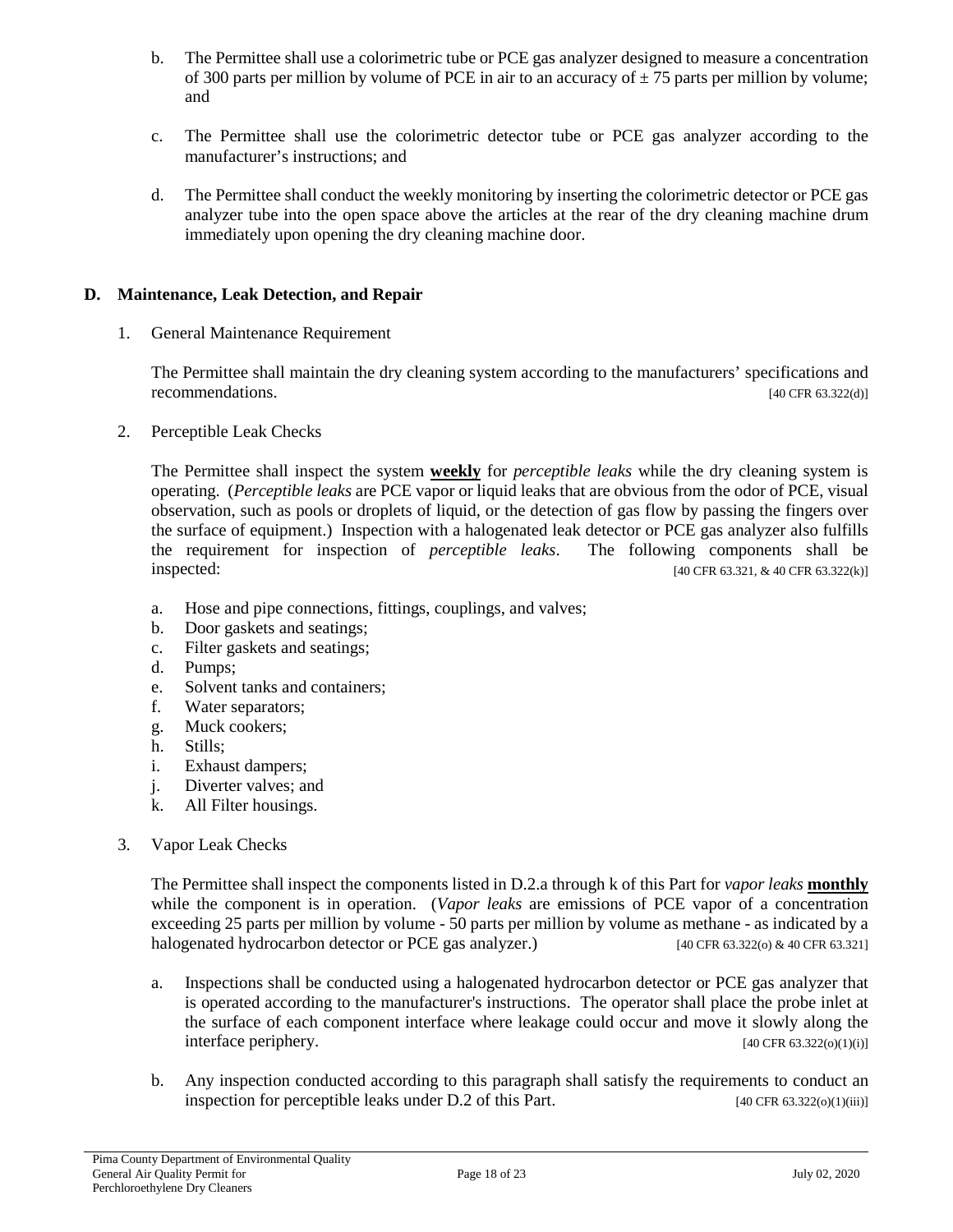- b. The Permittee shall use a colorimetric tube or PCE gas analyzer designed to measure a concentration of 300 parts per million by volume of PCE in air to an accuracy of  $\pm$  75 parts per million by volume; and
- c. The Permittee shall use the colorimetric detector tube or PCE gas analyzer according to the manufacturer's instructions; and
- d. The Permittee shall conduct the weekly monitoring by inserting the colorimetric detector or PCE gas analyzer tube into the open space above the articles at the rear of the dry cleaning machine drum immediately upon opening the dry cleaning machine door.

## **D. Maintenance, Leak Detection, and Repair**

1. General Maintenance Requirement

The Permittee shall maintain the dry cleaning system according to the manufacturers' specifications and recommendations. [40 CFR 63.322(d)]

2. Perceptible Leak Checks

The Permittee shall inspect the system **weekly** for *perceptible leaks* while the dry cleaning system is operating. (*Perceptible leaks* are PCE vapor or liquid leaks that are obvious from the odor of PCE, visual observation, such as pools or droplets of liquid, or the detection of gas flow by passing the fingers over the surface of equipment.) Inspection with a halogenated leak detector or PCE gas analyzer also fulfills the requirement for inspection of *perceptible leaks*. The following components shall be **inspected:** [40 CFR 63.321, & 40 CFR 63.322(k)]

- a. Hose and pipe connections, fittings, couplings, and valves;
- b. Door gaskets and seatings;
- c. Filter gaskets and seatings;
- d. Pumps;
- e. Solvent tanks and containers;
- f. Water separators;
- g. Muck cookers;
- h. Stills;
- i. Exhaust dampers;
- j. Diverter valves; and
- k. All Filter housings.
- 3. Vapor Leak Checks

The Permittee shall inspect the components listed in D.2.a through k of this Part for *vapor leaks* **monthly** while the component is in operation. (*Vapor leaks* are emissions of PCE vapor of a concentration exceeding 25 parts per million by volume - 50 parts per million by volume as methane - as indicated by a halogenated hydrocarbon detector or PCE gas analyzer.) [40 CFR 63.322(o) & 40 CFR 63.321]

- a. Inspections shall be conducted using a halogenated hydrocarbon detector or PCE gas analyzer that is operated according to the manufacturer's instructions. The operator shall place the probe inlet at the surface of each component interface where leakage could occur and move it slowly along the interface periphery. [40 CFR 63.322(o)(1)(i)]
- b. Any inspection conducted according to this paragraph shall satisfy the requirements to conduct an inspection for perceptible leaks under D.2 of this Part. [40 CFR 63.322(o)(1)(iii)]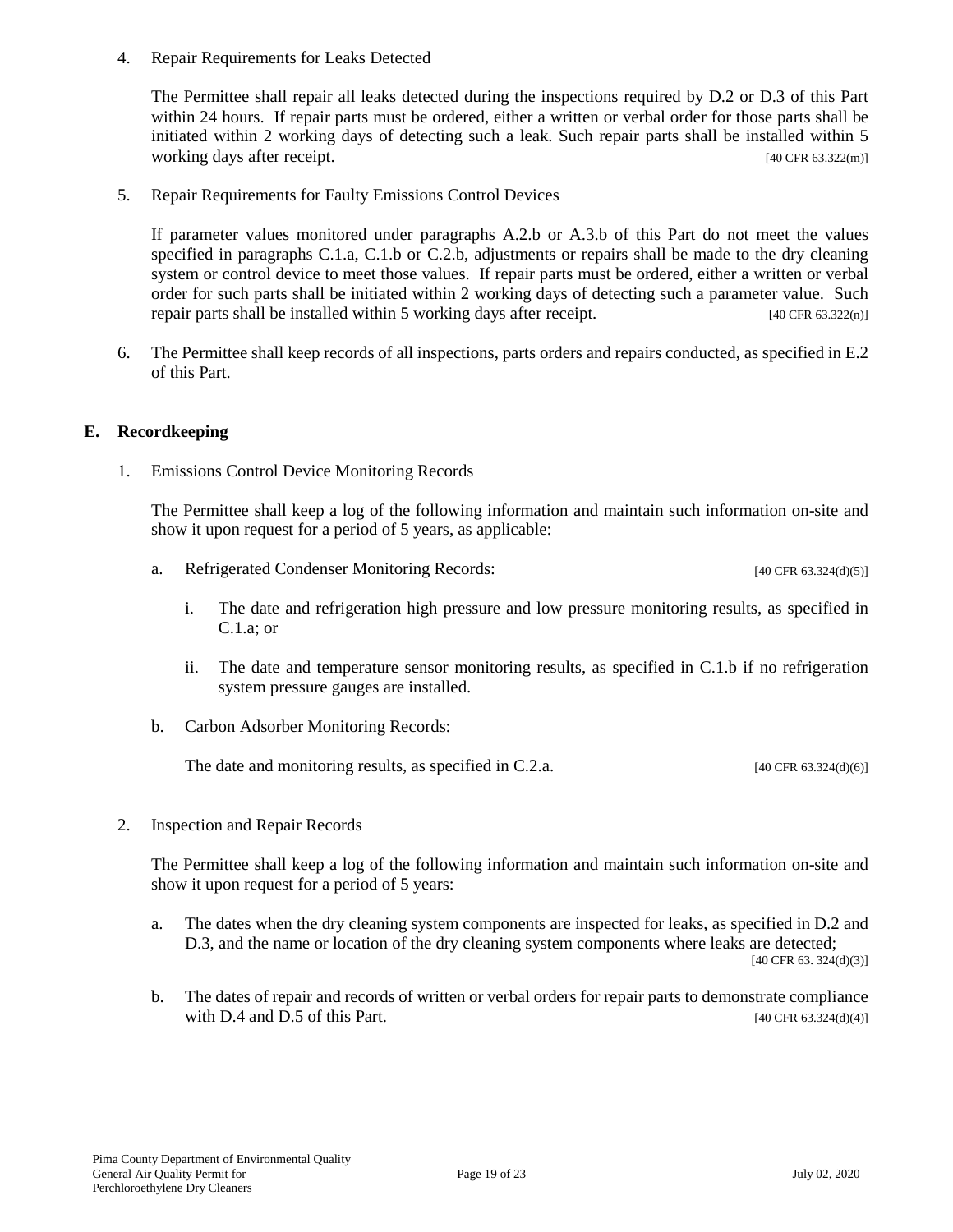4. Repair Requirements for Leaks Detected

The Permittee shall repair all leaks detected during the inspections required by D.2 or D.3 of this Part within 24 hours. If repair parts must be ordered, either a written or verbal order for those parts shall be initiated within 2 working days of detecting such a leak. Such repair parts shall be installed within 5 working days after receipt. [40 CFR 63.322(m)]

5. Repair Requirements for Faulty Emissions Control Devices

If parameter values monitored under paragraphs A.2.b or A.3.b of this Part do not meet the values specified in paragraphs C.1.a, C.1.b or C.2.b, adjustments or repairs shall be made to the dry cleaning system or control device to meet those values. If repair parts must be ordered, either a written or verbal order for such parts shall be initiated within 2 working days of detecting such a parameter value. Such repair parts shall be installed within 5 working days after receipt. [40 CFR 63.322(n)]

6. The Permittee shall keep records of all inspections, parts orders and repairs conducted, as specified in E.2 of this Part.

#### **E. Recordkeeping**

1. Emissions Control Device Monitoring Records

The Permittee shall keep a log of the following information and maintain such information on-site and show it upon request for a period of 5 years, as applicable:

- a. Refrigerated Condenser Monitoring Records: [40 CFR 63.324(d)(5)]
	- i. The date and refrigeration high pressure and low pressure monitoring results, as specified in C.1.a; or
	- ii. The date and temperature sensor monitoring results, as specified in C.1.b if no refrigeration system pressure gauges are installed.
- b. Carbon Adsorber Monitoring Records:

The date and monitoring results, as specified in C.2.a.  $[40 \text{ CFR } 63.324 \text{ (d)}(6)]$ 

2. Inspection and Repair Records

The Permittee shall keep a log of the following information and maintain such information on-site and show it upon request for a period of 5 years:

- a. The dates when the dry cleaning system components are inspected for leaks, as specified in D.2 and D.3, and the name or location of the dry cleaning system components where leaks are detected;  $[40 \text{ CFR } 63.324 \text{ (d)}(3)]$
- b. The dates of repair and records of written or verbal orders for repair parts to demonstrate compliance with D.4 and D.5 of this Part.  $[40 \text{ CFR } 63.324 \text{ (d)}(4)]$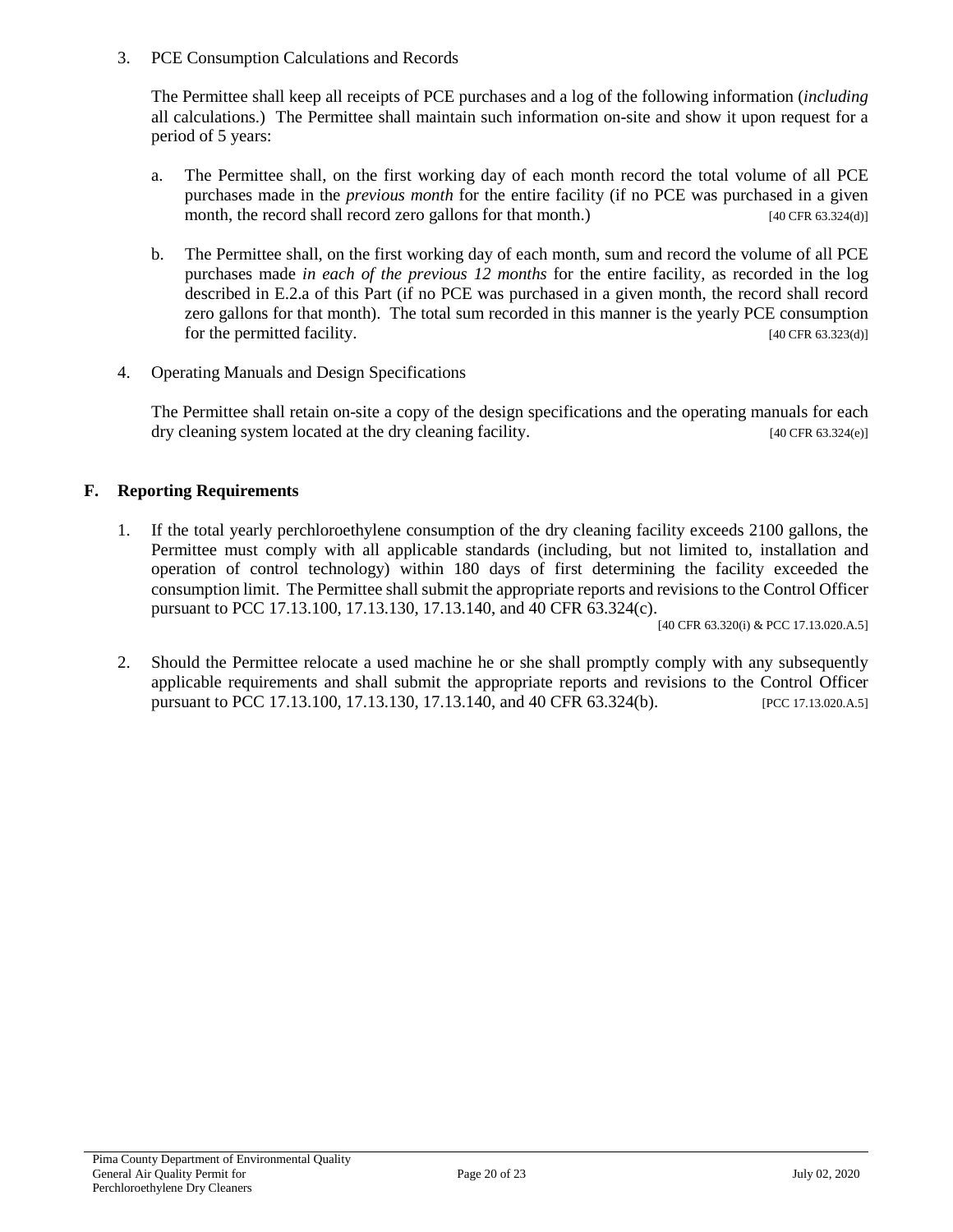3. PCE Consumption Calculations and Records

The Permittee shall keep all receipts of PCE purchases and a log of the following information (*including* all calculations.) The Permittee shall maintain such information on-site and show it upon request for a period of 5 years:

- a. The Permittee shall, on the first working day of each month record the total volume of all PCE purchases made in the *previous month* for the entire facility (if no PCE was purchased in a given month, the record shall record zero gallons for that month.) [40 CFR 63.324(d)]
- b. The Permittee shall, on the first working day of each month, sum and record the volume of all PCE purchases made *in each of the previous 12 months* for the entire facility, as recorded in the log described in E.2.a of this Part (if no PCE was purchased in a given month, the record shall record zero gallons for that month). The total sum recorded in this manner is the yearly PCE consumption for the permitted facility. [40 CFR 63.323(d)]
- 4. Operating Manuals and Design Specifications

The Permittee shall retain on-site a copy of the design specifications and the operating manuals for each dry cleaning system located at the dry cleaning facility. [40 CFR 63.324(e)]

## **F. Reporting Requirements**

1. If the total yearly perchloroethylene consumption of the dry cleaning facility exceeds 2100 gallons, the Permittee must comply with all applicable standards (including, but not limited to, installation and operation of control technology) within 180 days of first determining the facility exceeded the consumption limit. The Permittee shall submit the appropriate reports and revisions to the Control Officer pursuant to PCC 17.13.100, 17.13.130, 17.13.140, and 40 CFR 63.324(c).

[40 CFR 63.320(i) & PCC 17.13.020.A.5]

2. Should the Permittee relocate a used machine he or she shall promptly comply with any subsequently applicable requirements and shall submit the appropriate reports and revisions to the Control Officer pursuant to PCC 17.13.100, 17.13.130, 17.13.140, and 40 CFR 63.324(b). [PCC 17.13.020.A.5]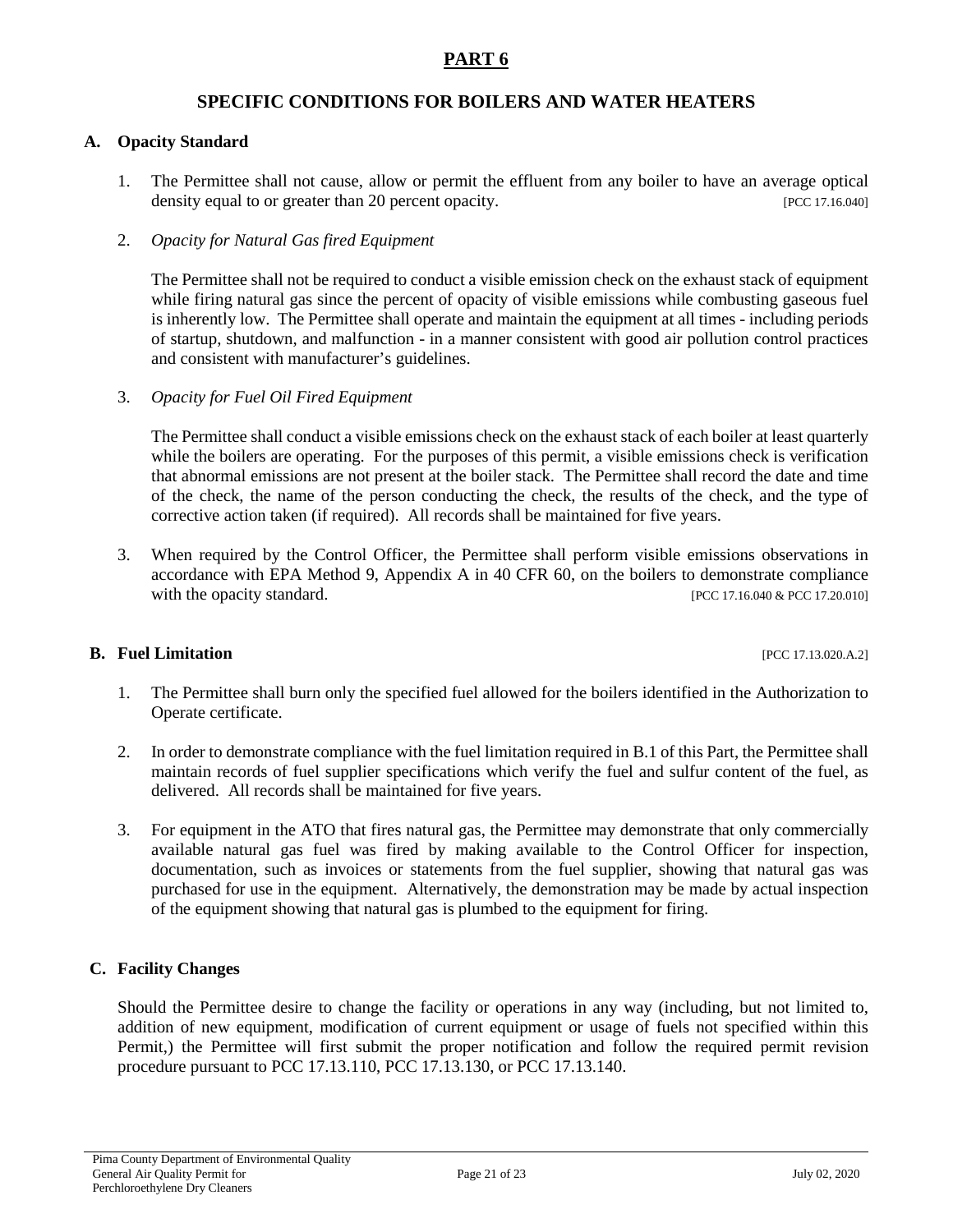## **SPECIFIC CONDITIONS FOR BOILERS AND WATER HEATERS**

#### **A. Opacity Standard**

1. The Permittee shall not cause, allow or permit the effluent from any boiler to have an average optical density equal to or greater than 20 percent opacity. [PCC 17.16.040]

#### 2. *Opacity for Natural Gas fired Equipment*

The Permittee shall not be required to conduct a visible emission check on the exhaust stack of equipment while firing natural gas since the percent of opacity of visible emissions while combusting gaseous fuel is inherently low. The Permittee shall operate and maintain the equipment at all times - including periods of startup, shutdown, and malfunction - in a manner consistent with good air pollution control practices and consistent with manufacturer's guidelines.

3. *Opacity for Fuel Oil Fired Equipment*

The Permittee shall conduct a visible emissions check on the exhaust stack of each boiler at least quarterly while the boilers are operating. For the purposes of this permit, a visible emissions check is verification that abnormal emissions are not present at the boiler stack. The Permittee shall record the date and time of the check, the name of the person conducting the check, the results of the check, and the type of corrective action taken (if required). All records shall be maintained for five years.

3. When required by the Control Officer, the Permittee shall perform visible emissions observations in accordance with EPA Method 9, Appendix A in 40 CFR 60, on the boilers to demonstrate compliance with the opacity standard. [PCC 17.16.040 & PCC 17.20.010]

#### **B.** Fuel Limitation **Function FUEL 17.13.020.A.2]**

- 1. The Permittee shall burn only the specified fuel allowed for the boilers identified in the Authorization to Operate certificate.
- 2. In order to demonstrate compliance with the fuel limitation required in B.1 of this Part, the Permittee shall maintain records of fuel supplier specifications which verify the fuel and sulfur content of the fuel, as delivered. All records shall be maintained for five years.
- 3. For equipment in the ATO that fires natural gas, the Permittee may demonstrate that only commercially available natural gas fuel was fired by making available to the Control Officer for inspection, documentation, such as invoices or statements from the fuel supplier, showing that natural gas was purchased for use in the equipment. Alternatively, the demonstration may be made by actual inspection of the equipment showing that natural gas is plumbed to the equipment for firing.

#### **C. Facility Changes**

Should the Permittee desire to change the facility or operations in any way (including, but not limited to, addition of new equipment, modification of current equipment or usage of fuels not specified within this Permit,) the Permittee will first submit the proper notification and follow the required permit revision procedure pursuant to PCC 17.13.110, PCC 17.13.130, or PCC 17.13.140.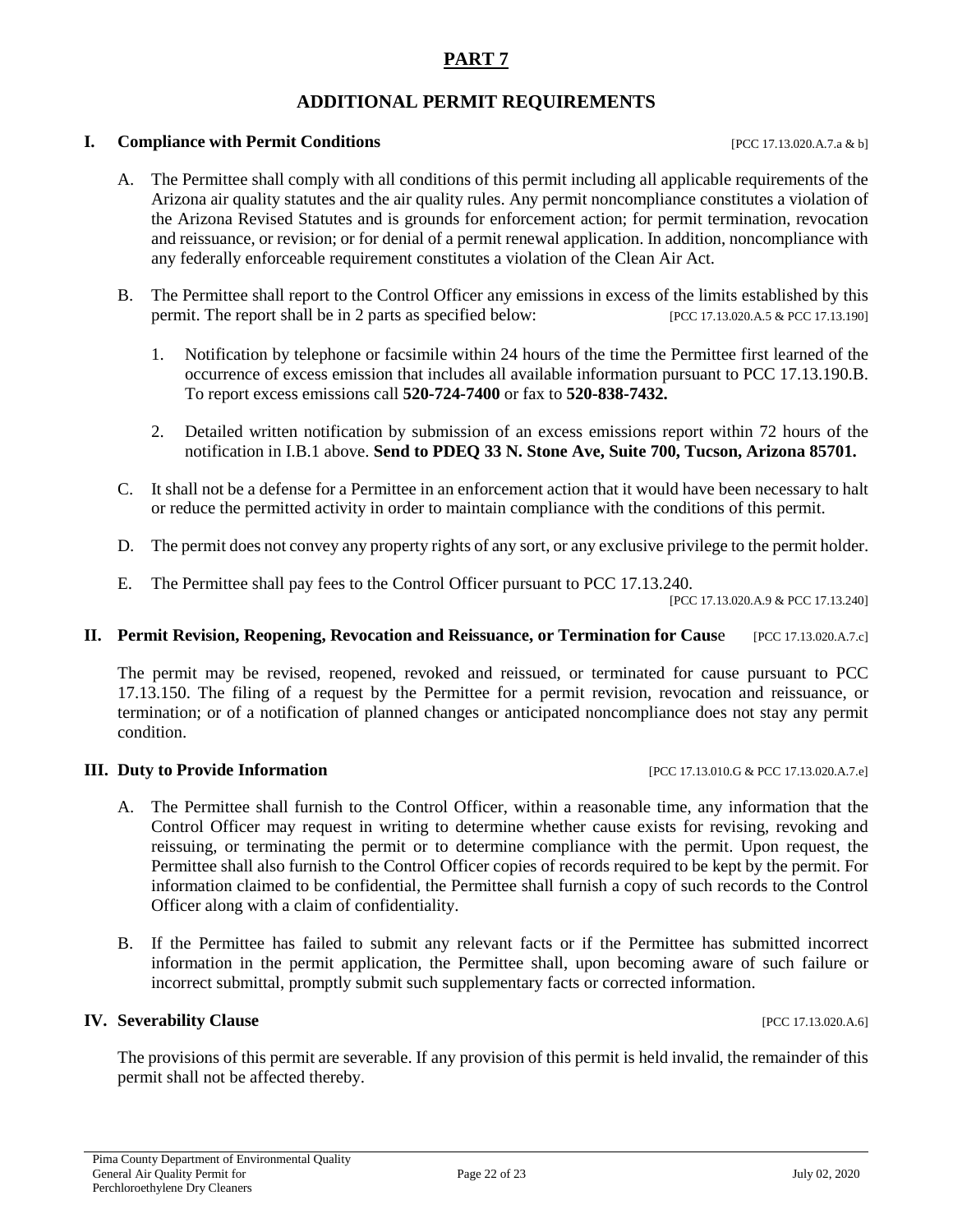# **ADDITIONAL PERMIT REQUIREMENTS**

#### **I. Compliance with Permit Conditions I.e. 2016 I.e. 2016 I.e. 2020 I.e. 2020 I.e. 2020 I.e. 2020 I.e. 2020 I.e. 2020 I.e. 2020 I.e. 2020 I.e. 2020 I.e. 2020 I.e. 2020 I.e. 2020 I.e. 2020**

- A. The Permittee shall comply with all conditions of this permit including all applicable requirements of the Arizona air quality statutes and the air quality rules. Any permit noncompliance constitutes a violation of the Arizona Revised Statutes and is grounds for enforcement action; for permit termination, revocation and reissuance, or revision; or for denial of a permit renewal application. In addition, noncompliance with any federally enforceable requirement constitutes a violation of the Clean Air Act.
- B. The Permittee shall report to the Control Officer any emissions in excess of the limits established by this permit. The report shall be in 2 parts as specified below: [PCC 17.13.020.A.5 & PCC 17.13.190]
	- 1. Notification by telephone or facsimile within 24 hours of the time the Permittee first learned of the occurrence of excess emission that includes all available information pursuant to PCC 17.13.190.B. To report excess emissions call **520-724-7400** or fax to **520-838-7432.**
	- 2. Detailed written notification by submission of an excess emissions report within 72 hours of the notification in I.B.1 above. **Send to PDEQ 33 N. Stone Ave, Suite 700, Tucson, Arizona 85701.**
- C. It shall not be a defense for a Permittee in an enforcement action that it would have been necessary to halt or reduce the permitted activity in order to maintain compliance with the conditions of this permit.
- D. The permit does not convey any property rights of any sort, or any exclusive privilege to the permit holder.
- E. The Permittee shall pay fees to the Control Officer pursuant to PCC 17.13.240.

[PCC 17.13.020.A.9 & PCC 17.13.240]

#### **II.** Permit Revision, Reopening, Revocation and Reissuance, or Termination for Cause [PCC 17.13.020.A.7.c]

The permit may be revised, reopened, revoked and reissued, or terminated for cause pursuant to PCC 17.13.150. The filing of a request by the Permittee for a permit revision, revocation and reissuance, or termination; or of a notification of planned changes or anticipated noncompliance does not stay any permit condition.

## **III.** Duty to Provide Information [PCC 17.13.010.G & PCC 17.13.020.A.7.e]

- A. The Permittee shall furnish to the Control Officer, within a reasonable time, any information that the Control Officer may request in writing to determine whether cause exists for revising, revoking and reissuing, or terminating the permit or to determine compliance with the permit. Upon request, the Permittee shall also furnish to the Control Officer copies of records required to be kept by the permit. For information claimed to be confidential, the Permittee shall furnish a copy of such records to the Control Officer along with a claim of confidentiality.
- B. If the Permittee has failed to submit any relevant facts or if the Permittee has submitted incorrect information in the permit application, the Permittee shall, upon becoming aware of such failure or incorrect submittal, promptly submit such supplementary facts or corrected information.

#### **IV. Severability Clause IPCC 17.13.020.A.6**]

The provisions of this permit are severable. If any provision of this permit is held invalid, the remainder of this permit shall not be affected thereby.